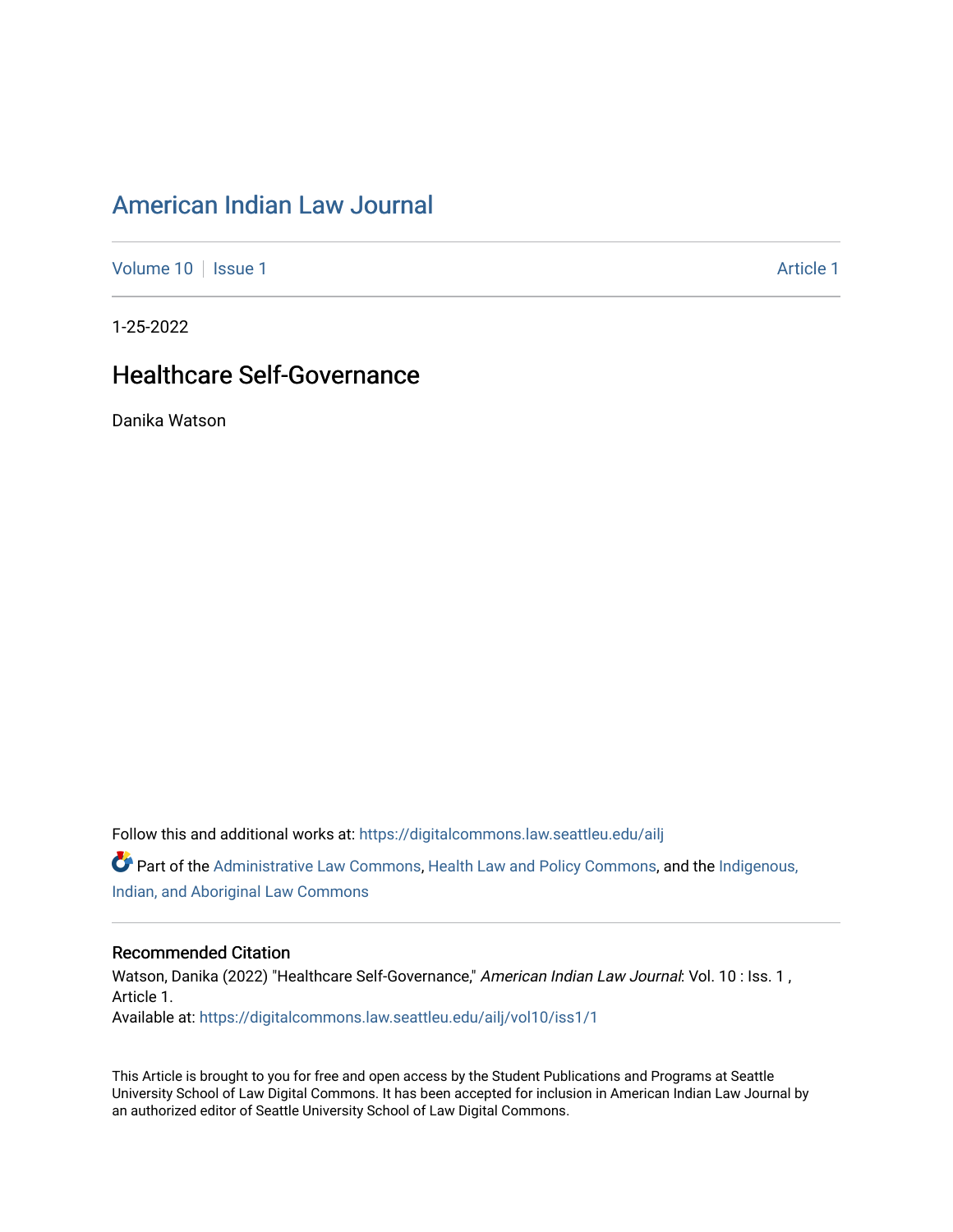# [American Indian Law Journal](https://digitalcommons.law.seattleu.edu/ailj)

[Volume 10](https://digitalcommons.law.seattleu.edu/ailj/vol10) | [Issue 1](https://digitalcommons.law.seattleu.edu/ailj/vol10/iss1) Article 1

1-25-2022

# Healthcare Self-Governance

Danika Watson

Follow this and additional works at: [https://digitalcommons.law.seattleu.edu/ailj](https://digitalcommons.law.seattleu.edu/ailj?utm_source=digitalcommons.law.seattleu.edu%2Failj%2Fvol10%2Fiss1%2F1&utm_medium=PDF&utm_campaign=PDFCoverPages) 

Part of the [Administrative Law Commons,](http://network.bepress.com/hgg/discipline/579?utm_source=digitalcommons.law.seattleu.edu%2Failj%2Fvol10%2Fiss1%2F1&utm_medium=PDF&utm_campaign=PDFCoverPages) [Health Law and Policy Commons,](http://network.bepress.com/hgg/discipline/901?utm_source=digitalcommons.law.seattleu.edu%2Failj%2Fvol10%2Fiss1%2F1&utm_medium=PDF&utm_campaign=PDFCoverPages) and the [Indigenous,](http://network.bepress.com/hgg/discipline/894?utm_source=digitalcommons.law.seattleu.edu%2Failj%2Fvol10%2Fiss1%2F1&utm_medium=PDF&utm_campaign=PDFCoverPages) [Indian, and Aboriginal Law Commons](http://network.bepress.com/hgg/discipline/894?utm_source=digitalcommons.law.seattleu.edu%2Failj%2Fvol10%2Fiss1%2F1&utm_medium=PDF&utm_campaign=PDFCoverPages)

#### Recommended Citation

Watson, Danika (2022) "Healthcare Self-Governance," American Indian Law Journal: Vol. 10 : Iss. 1, Article 1. Available at: [https://digitalcommons.law.seattleu.edu/ailj/vol10/iss1/1](https://digitalcommons.law.seattleu.edu/ailj/vol10/iss1/1?utm_source=digitalcommons.law.seattleu.edu%2Failj%2Fvol10%2Fiss1%2F1&utm_medium=PDF&utm_campaign=PDFCoverPages) 

This Article is brought to you for free and open access by the Student Publications and Programs at Seattle University School of Law Digital Commons. It has been accepted for inclusion in American Indian Law Journal by an authorized editor of Seattle University School of Law Digital Commons.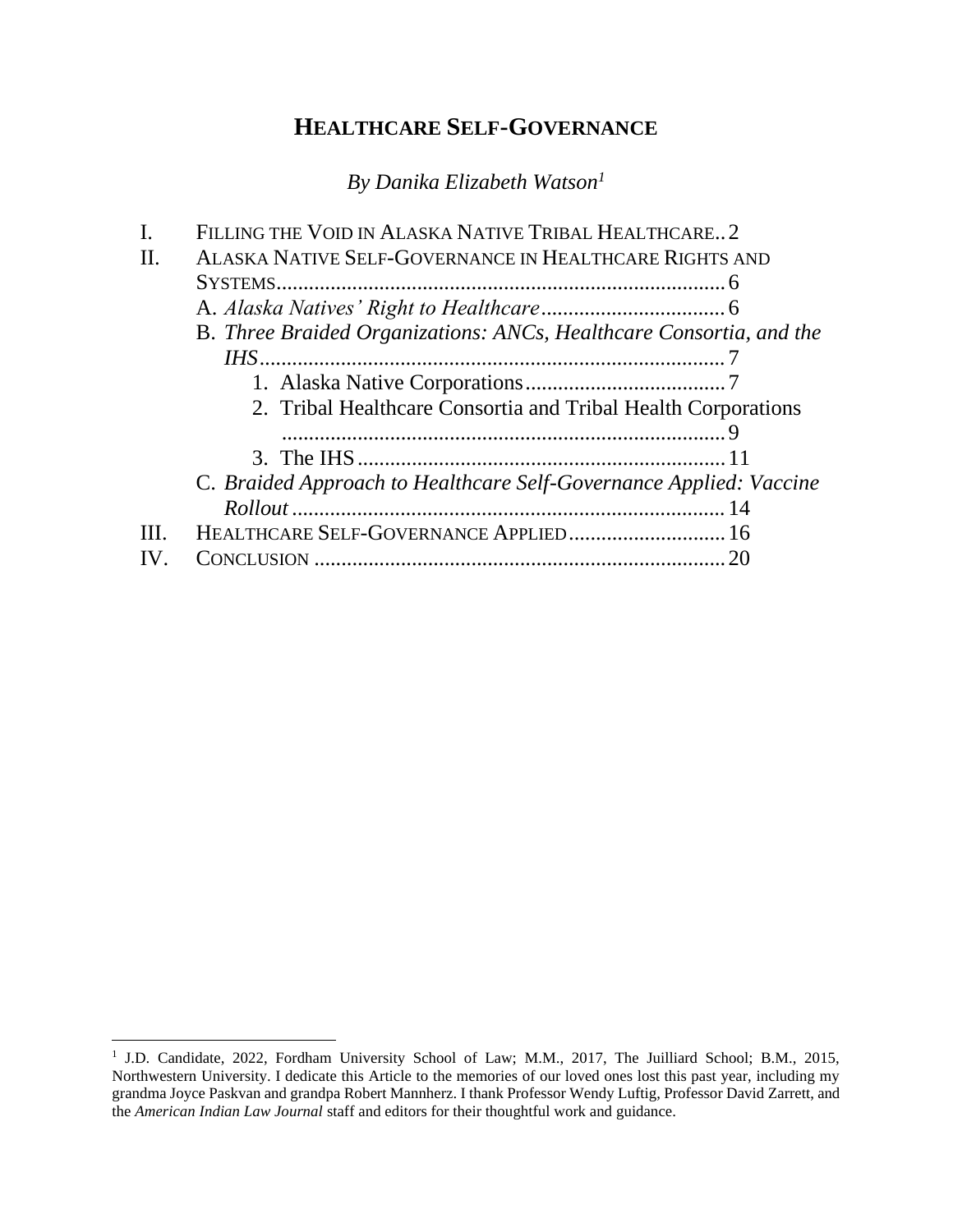# **HEALTHCARE SELF-GOVERNANCE**

*By Danika Elizabeth Watson<sup>1</sup>*

|    | FILLING THE VOID IN ALASKA NATIVE TRIBAL HEALTHCARE 2               |  |
|----|---------------------------------------------------------------------|--|
| Н. | ALASKA NATIVE SELF-GOVERNANCE IN HEALTHCARE RIGHTS AND              |  |
|    |                                                                     |  |
|    |                                                                     |  |
|    | B. Three Braided Organizations: ANCs, Healthcare Consortia, and the |  |
|    |                                                                     |  |
|    |                                                                     |  |
|    | 2. Tribal Healthcare Consortia and Tribal Health Corporations       |  |
|    |                                                                     |  |
|    |                                                                     |  |
|    | C. Braided Approach to Healthcare Self-Governance Applied: Vaccine  |  |
|    |                                                                     |  |
| Ш  | HEALTHCARE SELF-GOVERNANCE APPLIED 16                               |  |
|    |                                                                     |  |
|    |                                                                     |  |

<sup>&</sup>lt;sup>1</sup> J.D. Candidate, 2022, Fordham University School of Law; M.M., 2017, The Juilliard School; B.M., 2015, Northwestern University. I dedicate this Article to the memories of our loved ones lost this past year, including my grandma Joyce Paskvan and grandpa Robert Mannherz. I thank Professor Wendy Luftig, Professor David Zarrett, and the *American Indian Law Journal* staff and editors for their thoughtful work and guidance.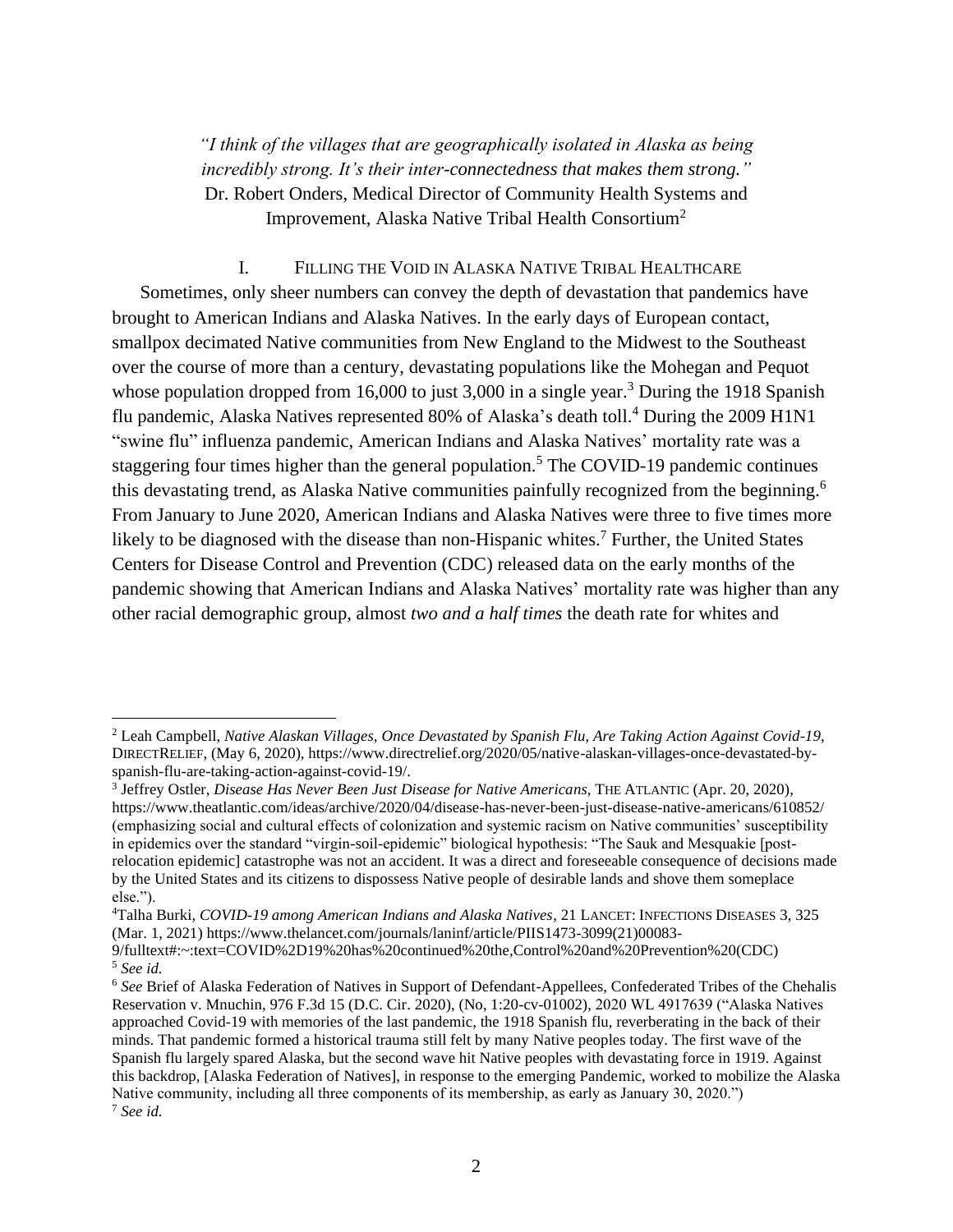*"I think of the villages that are geographically isolated in Alaska as being incredibly strong. It's their inter-connectedness that makes them strong."* Dr. Robert Onders, Medical Director of Community Health Systems and Improvement, Alaska Native Tribal Health Consortium<sup>2</sup>

#### I. FILLING THE VOID IN ALASKA NATIVE TRIBAL HEALTHCARE

Sometimes, only sheer numbers can convey the depth of devastation that pandemics have brought to American Indians and Alaska Natives. In the early days of European contact, smallpox decimated Native communities from New England to the Midwest to the Southeast over the course of more than a century, devastating populations like the Mohegan and Pequot whose population dropped from 16,000 to just 3,000 in a single year.<sup>3</sup> During the 1918 Spanish flu pandemic, Alaska Natives represented 80% of Alaska's death toll.<sup>4</sup> During the 2009 H1N1 "swine flu" influenza pandemic, American Indians and Alaska Natives' mortality rate was a staggering four times higher than the general population.<sup>5</sup> The COVID-19 pandemic continues this devastating trend, as Alaska Native communities painfully recognized from the beginning.<sup>6</sup> From January to June 2020, American Indians and Alaska Natives were three to five times more likely to be diagnosed with the disease than non-Hispanic whites.<sup>7</sup> Further, the United States Centers for Disease Control and Prevention (CDC) released data on the early months of the pandemic showing that American Indians and Alaska Natives' mortality rate was higher than any other racial demographic group, almost *two and a half times* the death rate for whites and

<sup>2</sup> Leah Campbell, *Native Alaskan Villages, Once Devastated by Spanish Flu, Are Taking Action Against Covid-19*, DIRECTRELIEF, (May 6, 2020), https://www.directrelief.org/2020/05/native-alaskan-villages-once-devastated-byspanish-flu-are-taking-action-against-covid-19/.

<sup>3</sup> Jeffrey Ostler, *Disease Has Never Been Just Disease for Native Americans*, THE ATLANTIC (Apr. 20, 2020), https://www.theatlantic.com/ideas/archive/2020/04/disease-has-never-been-just-disease-native-americans/610852/ (emphasizing social and cultural effects of colonization and systemic racism on Native communities' susceptibility in epidemics over the standard "virgin-soil-epidemic" biological hypothesis: "The Sauk and Mesquakie [postrelocation epidemic] catastrophe was not an accident. It was a direct and foreseeable consequence of decisions made by the United States and its citizens to dispossess Native people of desirable lands and shove them someplace else.").

<sup>4</sup>Talha Burki, *COVID-19 among American Indians and Alaska Natives*, 21 LANCET: INFECTIONS DISEASES 3, 325 (Mar. 1, 2021) https://www.thelancet.com/journals/laninf/article/PIIS1473-3099(21)00083-

<sup>9/</sup>fulltext#:~:text=COVID%2D19%20has%20continued%20the,Control%20and%20Prevention%20(CDC) <sup>5</sup> *See id.*

<sup>6</sup> *See* Brief of Alaska Federation of Natives in Support of Defendant-Appellees, Confederated Tribes of the Chehalis Reservation v. Mnuchin, 976 F.3d 15 (D.C. Cir. 2020), (No, 1:20-cv-01002), 2020 WL 4917639 ("Alaska Natives approached Covid-19 with memories of the last pandemic, the 1918 Spanish flu, reverberating in the back of their minds. That pandemic formed a historical trauma still felt by many Native peoples today. The first wave of the Spanish flu largely spared Alaska, but the second wave hit Native peoples with devastating force in 1919. Against this backdrop, [Alaska Federation of Natives], in response to the emerging Pandemic, worked to mobilize the Alaska Native community, including all three components of its membership, as early as January 30, 2020.") <sup>7</sup> *See id.*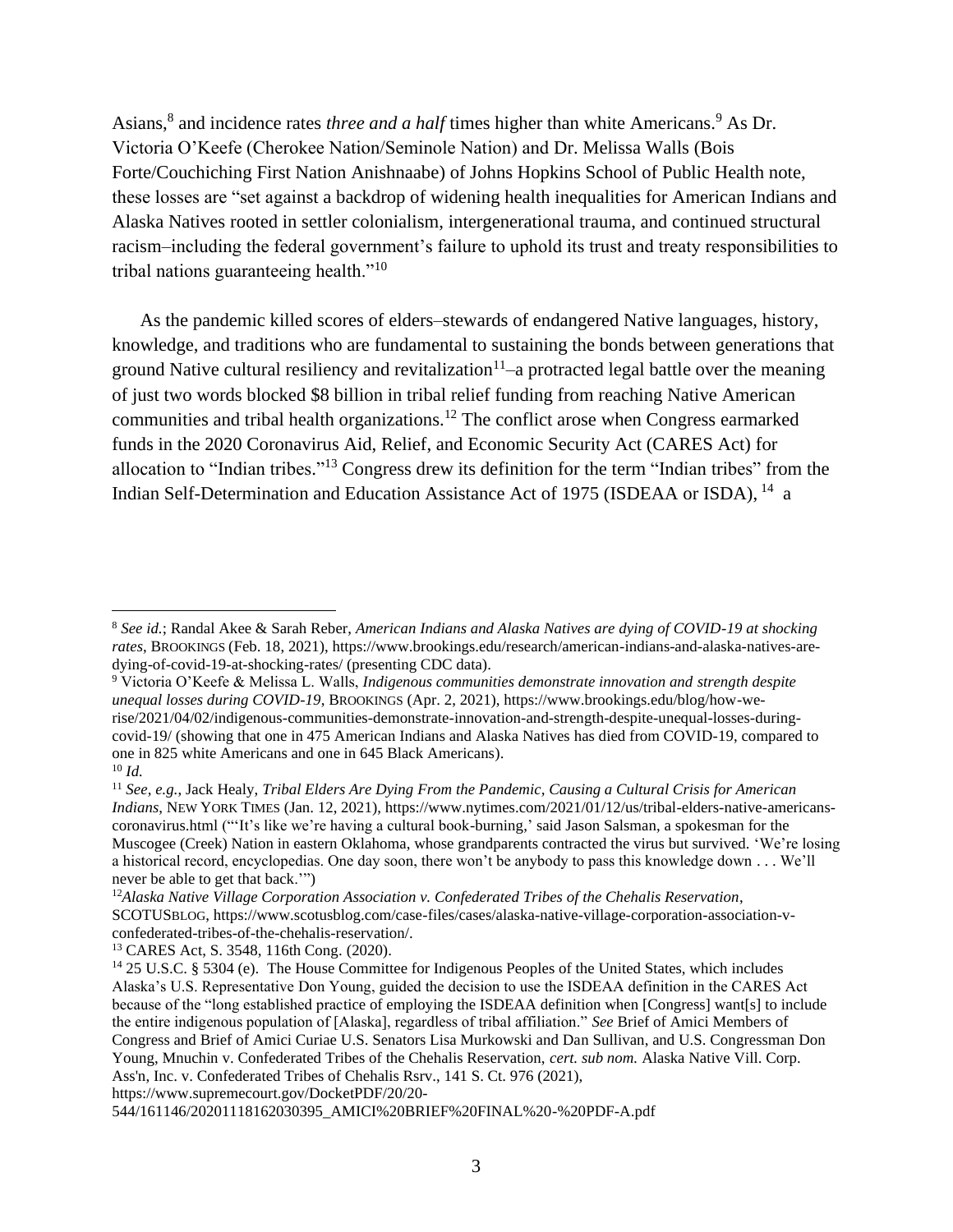Asians,<sup>8</sup> and incidence rates *three and a half* times higher than white Americans.<sup>9</sup> As Dr. Victoria O'Keefe (Cherokee Nation/Seminole Nation) and Dr. Melissa Walls (Bois Forte/Couchiching First Nation Anishnaabe) of Johns Hopkins School of Public Health note, these losses are "set against a backdrop of widening health inequalities for American Indians and Alaska Natives rooted in settler colonialism, intergenerational trauma, and continued structural racism–including the federal government's failure to uphold its trust and treaty responsibilities to tribal nations guaranteeing health."<sup>10</sup>

As the pandemic killed scores of elders–stewards of endangered Native languages, history, knowledge, and traditions who are fundamental to sustaining the bonds between generations that ground Native cultural resiliency and revitalization<sup>11</sup> $-a$  protracted legal battle over the meaning of just two words blocked \$8 billion in tribal relief funding from reaching Native American communities and tribal health organizations.<sup>12</sup> The conflict arose when Congress earmarked funds in the 2020 Coronavirus Aid, Relief, and Economic Security Act (CARES Act) for allocation to "Indian tribes."<sup>13</sup> Congress drew its definition for the term "Indian tribes" from the Indian Self-Determination and Education Assistance Act of 1975 (ISDEAA or ISDA), <sup>14</sup> a

https://www.supremecourt.gov/DocketPDF/20/20-

<sup>8</sup> *See id.*; Randal Akee & Sarah Reber, *American Indians and Alaska Natives are dying of COVID-19 at shocking rates*, BROOKINGS (Feb. 18, 2021), https://www.brookings.edu/research/american-indians-and-alaska-natives-aredying-of-covid-19-at-shocking-rates/ (presenting CDC data).

<sup>9</sup> Victoria O'Keefe & Melissa L. Walls, *Indigenous communities demonstrate innovation and strength despite unequal losses during COVID-19*, BROOKINGS (Apr. 2, 2021), https://www.brookings.edu/blog/how-werise/2021/04/02/indigenous-communities-demonstrate-innovation-and-strength-despite-unequal-losses-duringcovid-19/ (showing that one in 475 American Indians and Alaska Natives has died from COVID-19, compared to one in 825 white Americans and one in 645 Black Americans).  $10 \,$ *Id.* 

<sup>11</sup> *See, e.g.*, Jack Healy, *Tribal Elders Are Dying From the Pandemic, Causing a Cultural Crisis for American Indians*, NEW YORK TIMES (Jan. 12, 2021), https://www.nytimes.com/2021/01/12/us/tribal-elders-native-americanscoronavirus.html ("'It's like we're having a cultural book-burning,' said Jason Salsman, a spokesman for the Muscogee (Creek) Nation in eastern Oklahoma, whose grandparents contracted the virus but survived. 'We're losing a historical record, encyclopedias. One day soon, there won't be anybody to pass this knowledge down . . . We'll never be able to get that back.'")

<sup>12</sup>*Alaska Native Village Corporation Association v. Confederated Tribes of the Chehalis Reservation*, SCOTUSBLOG, https://www.scotusblog.com/case-files/cases/alaska-native-village-corporation-association-vconfederated-tribes-of-the-chehalis-reservation/.

<sup>13</sup> CARES Act, S. 3548, 116th Cong. (2020).

<sup>&</sup>lt;sup>14</sup> 25 U.S.C. § 5304 (e). The House Committee for Indigenous Peoples of the United States, which includes Alaska's U.S. Representative Don Young, guided the decision to use the ISDEAA definition in the CARES Act because of the "long established practice of employing the ISDEAA definition when [Congress] want[s] to include the entire indigenous population of [Alaska], regardless of tribal affiliation." *See* Brief of Amici Members of Congress and Brief of Amici Curiae U.S. Senators Lisa Murkowski and Dan Sullivan, and U.S. Congressman Don Young, Mnuchin v. Confederated Tribes of the Chehalis Reservation, *cert. sub nom.* Alaska Native Vill. Corp. Ass'n, Inc. v. Confederated Tribes of Chehalis Rsrv., 141 S. Ct. 976 (2021),

<sup>544/161146/20201118162030395</sup>\_AMICI%20BRIEF%20FINAL%20-%20PDF-A.pdf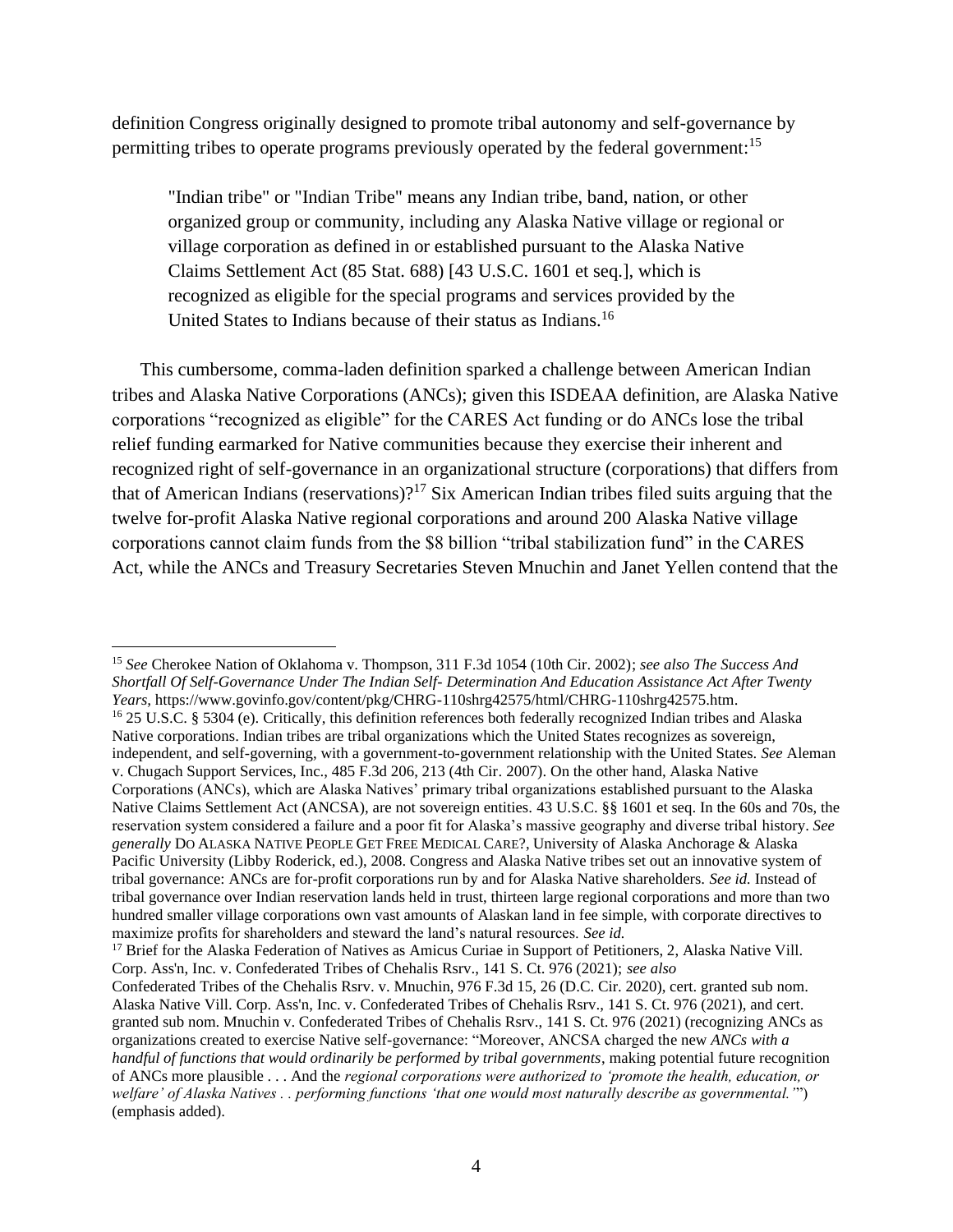definition Congress originally designed to promote tribal autonomy and self-governance by permitting tribes to operate programs previously operated by the federal government:<sup>15</sup>

"Indian tribe" or "Indian Tribe" means any Indian tribe, band, nation, or other organized group or community, including any Alaska Native village or regional or village corporation as defined in or established pursuant to the Alaska Native Claims Settlement Act (85 Stat. 688) [43 U.S.C. 1601 et seq.], which is recognized as eligible for the special programs and services provided by the United States to Indians because of their status as Indians.<sup>16</sup>

This cumbersome, comma-laden definition sparked a challenge between American Indian tribes and Alaska Native Corporations (ANCs); given this ISDEAA definition, are Alaska Native corporations "recognized as eligible" for the CARES Act funding or do ANCs lose the tribal relief funding earmarked for Native communities because they exercise their inherent and recognized right of self-governance in an organizational structure (corporations) that differs from that of American Indians (reservations)?<sup>17</sup> Six American Indian tribes filed suits arguing that the twelve for-profit Alaska Native regional corporations and around 200 Alaska Native village corporations cannot claim funds from the \$8 billion "tribal stabilization fund" in the CARES Act, while the ANCs and Treasury Secretaries Steven Mnuchin and Janet Yellen contend that the

<sup>15</sup> *See* Cherokee Nation of Oklahoma v. Thompson, 311 F.3d 1054 (10th Cir. 2002); *see also The Success And Shortfall Of Self-Governance Under The Indian Self- Determination And Education Assistance Act After Twenty Years,* https://www.govinfo.gov/content/pkg/CHRG-110shrg42575/html/CHRG-110shrg42575.htm. <sup>16</sup> 25 U.S.C. § 5304 (e). Critically, this definition references both federally recognized Indian tribes and Alaska Native corporations. Indian tribes are tribal organizations which the United States recognizes as sovereign, independent, and self-governing, with a government-to-government relationship with the United States. *See* Aleman v. Chugach Support Services, Inc., 485 F.3d 206, 213 (4th Cir. 2007). On the other hand, Alaska Native Corporations (ANCs), which are Alaska Natives' primary tribal organizations established pursuant to the Alaska Native Claims Settlement Act (ANCSA), are not sovereign entities. 43 U.S.C. §§ 1601 et seq. In the 60s and 70s, the reservation system considered a failure and a poor fit for Alaska's massive geography and diverse tribal history. *See generally* DO ALASKA NATIVE PEOPLE GET FREE MEDICAL CARE?, University of Alaska Anchorage & Alaska Pacific University (Libby Roderick, ed.), 2008. Congress and Alaska Native tribes set out an innovative system of tribal governance: ANCs are for-profit corporations run by and for Alaska Native shareholders. *See id.* Instead of tribal governance over Indian reservation lands held in trust, thirteen large regional corporations and more than two hundred smaller village corporations own vast amounts of Alaskan land in fee simple, with corporate directives to maximize profits for shareholders and steward the land's natural resources. *See id.* 

<sup>17</sup> Brief for the Alaska Federation of Natives as Amicus Curiae in Support of Petitioners, 2, Alaska Native Vill. Corp. Ass'n, Inc. v. Confederated Tribes of Chehalis Rsrv., 141 S. Ct. 976 (2021); *see also*

Confederated Tribes of the Chehalis Rsrv. v. Mnuchin, 976 F.3d 15, 26 (D.C. Cir. 2020), cert. granted sub nom. Alaska Native Vill. Corp. Ass'n, Inc. v. Confederated Tribes of Chehalis Rsrv., 141 S. Ct. 976 (2021), and cert. granted sub nom. Mnuchin v. Confederated Tribes of Chehalis Rsrv., 141 S. Ct. 976 (2021) (recognizing ANCs as organizations created to exercise Native self-governance: "Moreover, ANCSA charged the new *ANCs with a handful of functions that would ordinarily be performed by tribal governments*, making potential future recognition of ANCs more plausible . . . And the *regional corporations were authorized to 'promote the health, education, or welfare' of Alaska Natives . . performing functions 'that one would most naturally describe as governmental.'*") (emphasis added).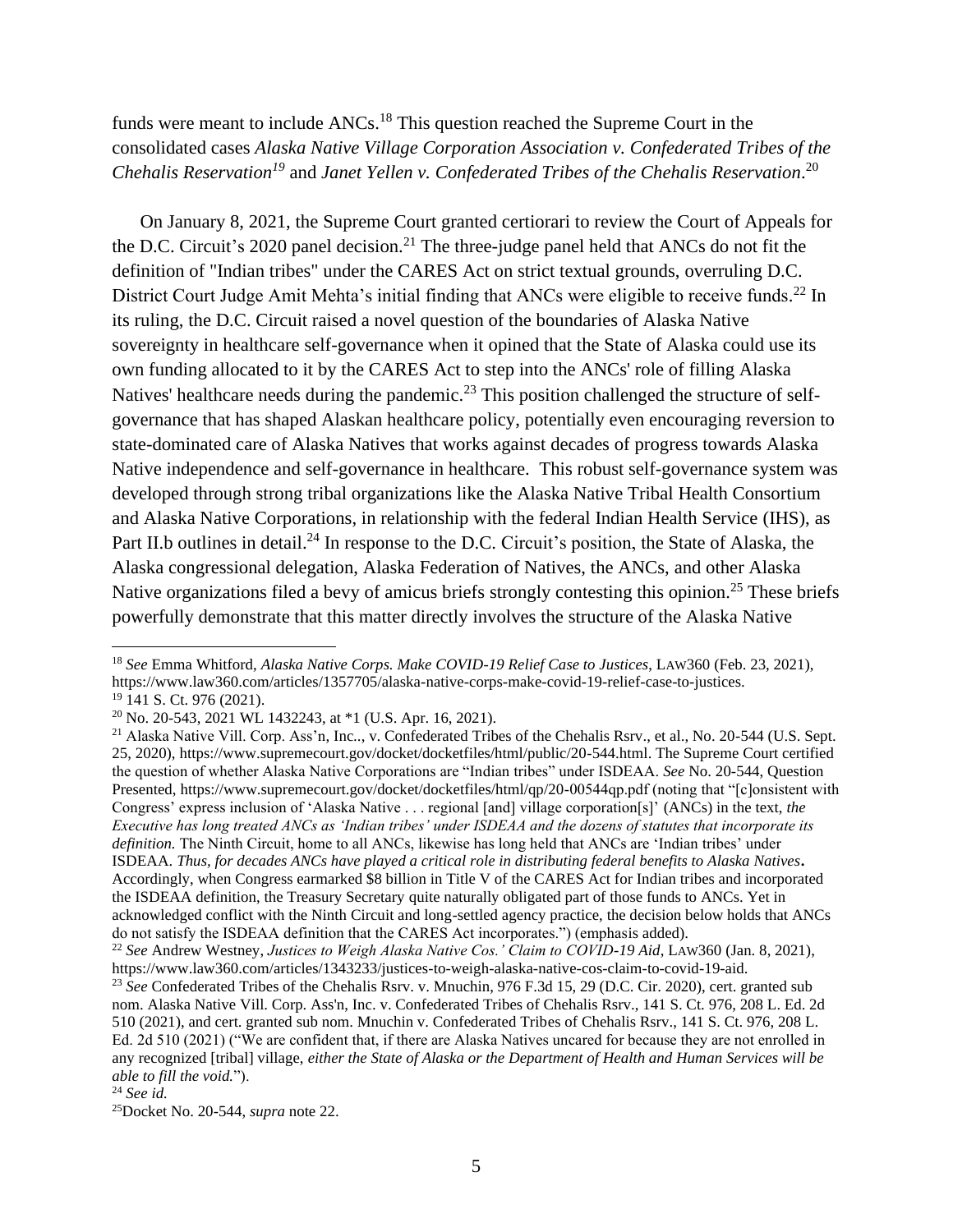# funds were meant to include ANCs.<sup>18</sup> This question reached the Supreme Court in the consolidated cases *Alaska Native Village Corporation Association v. Confederated Tribes of the Chehalis Reservation<sup>19</sup>* and *Janet Yellen v. Confederated Tribes of the Chehalis Reservation*. 20

On January 8, 2021, the Supreme Court granted certiorari to review the Court of Appeals for the D.C. Circuit's 2020 panel decision.<sup>21</sup> The three-judge panel held that ANCs do not fit the definition of "Indian tribes" under the CARES Act on strict textual grounds, overruling D.C. District Court Judge Amit Mehta's initial finding that ANCs were eligible to receive funds.<sup>22</sup> In its ruling, the D.C. Circuit raised a novel question of the boundaries of Alaska Native sovereignty in healthcare self-governance when it opined that the State of Alaska could use its own funding allocated to it by the CARES Act to step into the ANCs' role of filling Alaska Natives' healthcare needs during the pandemic.<sup>23</sup> This position challenged the structure of selfgovernance that has shaped Alaskan healthcare policy, potentially even encouraging reversion to state-dominated care of Alaska Natives that works against decades of progress towards Alaska Native independence and self-governance in healthcare. This robust self-governance system was developed through strong tribal organizations like the Alaska Native Tribal Health Consortium and Alaska Native Corporations, in relationship with the federal Indian Health Service (IHS), as Part II.b outlines in detail.<sup>24</sup> In response to the D.C. Circuit's position, the State of Alaska, the Alaska congressional delegation, Alaska Federation of Natives, the ANCs, and other Alaska Native organizations filed a bevy of amicus briefs strongly contesting this opinion.<sup>25</sup> These briefs powerfully demonstrate that this matter directly involves the structure of the Alaska Native

<sup>18</sup> *See* Emma Whitford, *Alaska Native Corps. Make COVID-19 Relief Case to Justices*, LAW360 (Feb. 23, 2021), https://www.law360.com/articles/1357705/alaska-native-corps-make-covid-19-relief-case-to-justices. <sup>19</sup> 141 S. Ct. 976 (2021).

<sup>20</sup> No. 20-543, 2021 WL 1432243, at \*1 (U.S. Apr. 16, 2021).

<sup>&</sup>lt;sup>21</sup> Alaska Native Vill. Corp. Ass'n, Inc.., v. Confederated Tribes of the Chehalis Rsrv., et al., No. 20-544 (U.S. Sept. 25, 2020), https://www.supremecourt.gov/docket/docketfiles/html/public/20-544.html. The Supreme Court certified the question of whether Alaska Native Corporations are "Indian tribes" under ISDEAA. *See* No. 20-544, Question Presented, https://www.supremecourt.gov/docket/docketfiles/html/qp/20-00544qp.pdf (noting that "[c]onsistent with Congress' express inclusion of 'Alaska Native . . . regional [and] village corporation[s]' (ANCs) in the text, *the Executive has long treated ANCs as 'Indian tribes' under ISDEAA and the dozens of statutes that incorporate its definition.* The Ninth Circuit, home to all ANCs, likewise has long held that ANCs are 'Indian tribes' under ISDEAA. *Thus, for decades ANCs have played a critical role in distributing federal benefits to Alaska Natives***.**  Accordingly, when Congress earmarked \$8 billion in Title V of the CARES Act for Indian tribes and incorporated the ISDEAA definition, the Treasury Secretary quite naturally obligated part of those funds to ANCs. Yet in acknowledged conflict with the Ninth Circuit and long-settled agency practice, the decision below holds that ANCs do not satisfy the ISDEAA definition that the CARES Act incorporates.") (emphasis added).

<sup>22</sup> *See* Andrew Westney, *Justices to Weigh Alaska Native Cos.' Claim to COVID-19 Aid*, LAW360 (Jan. 8, 2021), https://www.law360.com/articles/1343233/justices-to-weigh-alaska-native-cos-claim-to-covid-19-aid.

<sup>23</sup> *See* Confederated Tribes of the Chehalis Rsrv. v. Mnuchin, 976 F.3d 15, 29 (D.C. Cir. 2020), cert. granted sub nom. Alaska Native Vill. Corp. Ass'n, Inc. v. Confederated Tribes of Chehalis Rsrv., 141 S. Ct. 976, 208 L. Ed. 2d 510 (2021), and cert. granted sub nom. Mnuchin v. Confederated Tribes of Chehalis Rsrv., 141 S. Ct. 976, 208 L. Ed. 2d 510 (2021) ("We are confident that, if there are Alaska Natives uncared for because they are not enrolled in any recognized [tribal] village, *either the State of Alaska or the Department of Health and Human Services will be able to fill the void.*").

<sup>24</sup> *See id.* 

<sup>25</sup>Docket No. 20-544, *supra* note 22.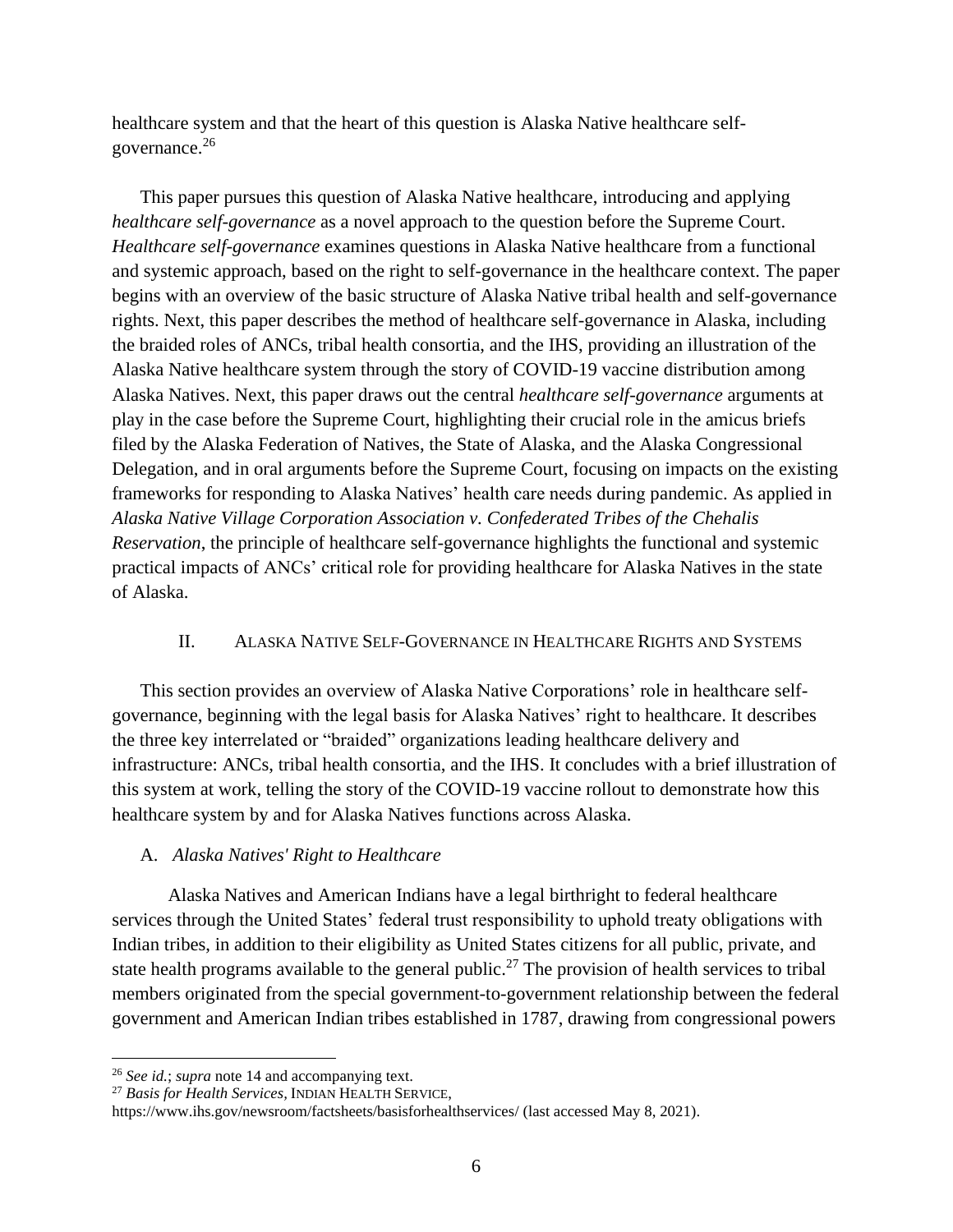healthcare system and that the heart of this question is Alaska Native healthcare selfgovernance.<sup>26</sup>

This paper pursues this question of Alaska Native healthcare, introducing and applying *healthcare self-governance* as a novel approach to the question before the Supreme Court. *Healthcare self-governance* examines questions in Alaska Native healthcare from a functional and systemic approach, based on the right to self-governance in the healthcare context. The paper begins with an overview of the basic structure of Alaska Native tribal health and self-governance rights. Next, this paper describes the method of healthcare self-governance in Alaska, including the braided roles of ANCs, tribal health consortia, and the IHS, providing an illustration of the Alaska Native healthcare system through the story of COVID-19 vaccine distribution among Alaska Natives. Next, this paper draws out the central *healthcare self-governance* arguments at play in the case before the Supreme Court, highlighting their crucial role in the amicus briefs filed by the Alaska Federation of Natives, the State of Alaska, and the Alaska Congressional Delegation, and in oral arguments before the Supreme Court, focusing on impacts on the existing frameworks for responding to Alaska Natives' health care needs during pandemic. As applied in *Alaska Native Village Corporation Association v. Confederated Tribes of the Chehalis Reservation*, the principle of healthcare self-governance highlights the functional and systemic practical impacts of ANCs' critical role for providing healthcare for Alaska Natives in the state of Alaska.

# II. ALASKA NATIVE SELF-GOVERNANCE IN HEALTHCARE RIGHTS AND SYSTEMS

This section provides an overview of Alaska Native Corporations' role in healthcare selfgovernance, beginning with the legal basis for Alaska Natives' right to healthcare. It describes the three key interrelated or "braided" organizations leading healthcare delivery and infrastructure: ANCs, tribal health consortia, and the IHS. It concludes with a brief illustration of this system at work, telling the story of the COVID-19 vaccine rollout to demonstrate how this healthcare system by and for Alaska Natives functions across Alaska.

## A. *Alaska Natives' Right to Healthcare*

Alaska Natives and American Indians have a legal birthright to federal healthcare services through the United States' federal trust responsibility to uphold treaty obligations with Indian tribes, in addition to their eligibility as United States citizens for all public, private, and state health programs available to the general public.<sup>27</sup> The provision of health services to tribal members originated from the special government-to-government relationship between the federal government and American Indian tribes established in 1787, drawing from congressional powers

<sup>26</sup> *See id.*; *supra* note 14 and accompanying text.

<sup>27</sup> *Basis for Health Services,* INDIAN HEALTH SERVICE,

https://www.ihs.gov/newsroom/factsheets/basisforhealthservices/ (last accessed May 8, 2021).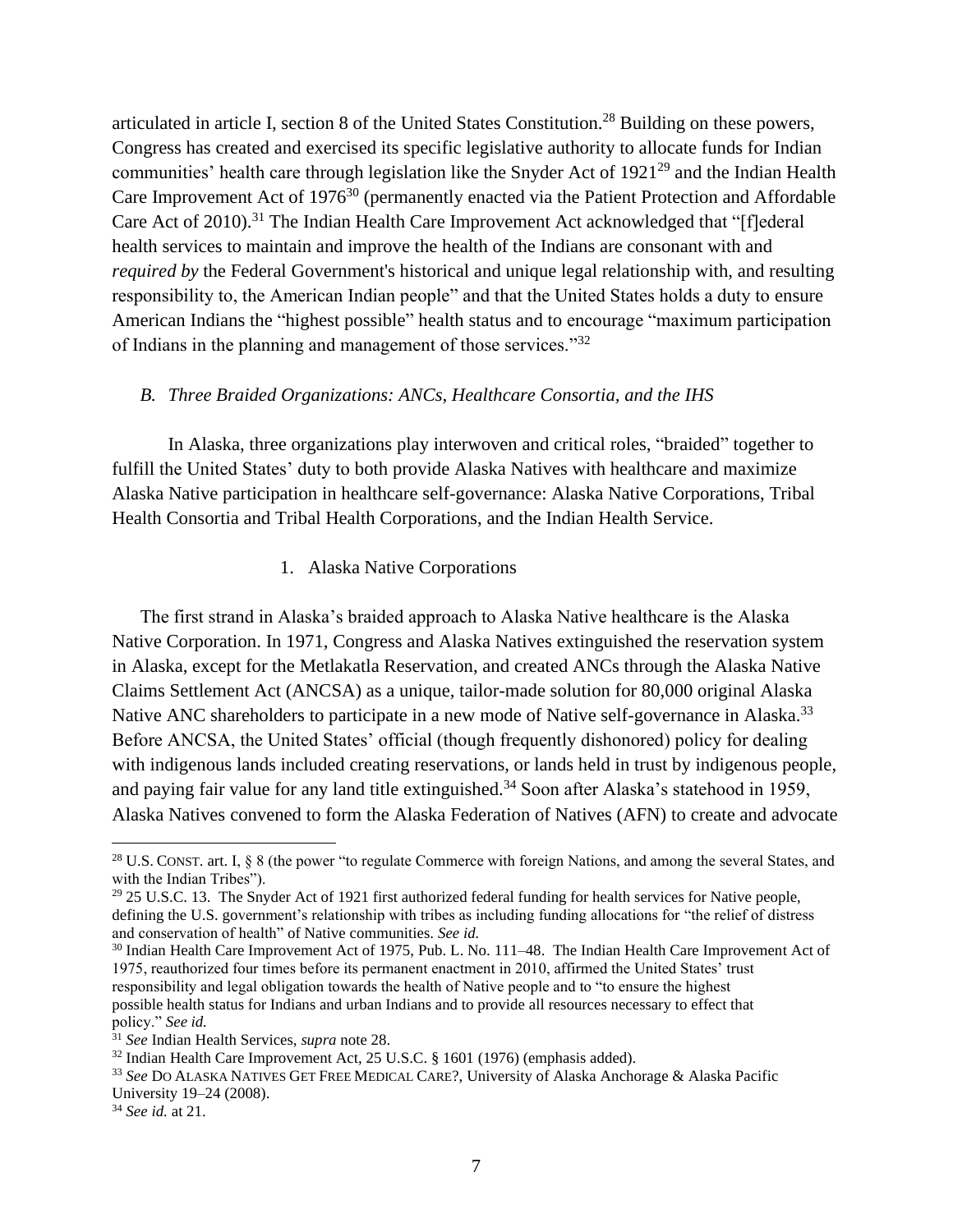articulated in article I, section 8 of the United States Constitution.<sup>28</sup> Building on these powers, Congress has created and exercised its specific legislative authority to allocate funds for Indian communities' health care through legislation like the Snyder Act of  $1921^{29}$  and the Indian Health Care Improvement Act of 1976<sup>30</sup> (permanently enacted via the Patient Protection and Affordable Care Act of 2010).<sup>31</sup> The Indian Health Care Improvement Act acknowledged that "[f]ederal health services to maintain and improve the health of the Indians are consonant with and *required by* the Federal Government's historical and unique legal relationship with, and resulting responsibility to, the American Indian people" and that the United States holds a duty to ensure American Indians the "highest possible" health status and to encourage "maximum participation of Indians in the planning and management of those services."<sup>32</sup>

#### *B. Three Braided Organizations: ANCs, Healthcare Consortia, and the IHS*

In Alaska, three organizations play interwoven and critical roles, "braided" together to fulfill the United States' duty to both provide Alaska Natives with healthcare and maximize Alaska Native participation in healthcare self-governance: Alaska Native Corporations, Tribal Health Consortia and Tribal Health Corporations, and the Indian Health Service.

#### 1. Alaska Native Corporations

The first strand in Alaska's braided approach to Alaska Native healthcare is the Alaska Native Corporation. In 1971, Congress and Alaska Natives extinguished the reservation system in Alaska, except for the Metlakatla Reservation, and created ANCs through the Alaska Native Claims Settlement Act (ANCSA) as a unique, tailor-made solution for 80,000 original Alaska Native ANC shareholders to participate in a new mode of Native self-governance in Alaska.<sup>33</sup> Before ANCSA, the United States' official (though frequently dishonored) policy for dealing with indigenous lands included creating reservations, or lands held in trust by indigenous people, and paying fair value for any land title extinguished.<sup>34</sup> Soon after Alaska's statehood in 1959, Alaska Natives convened to form the Alaska Federation of Natives (AFN) to create and advocate

<sup>30</sup> Indian Health Care Improvement Act of 1975, Pub. L. No. 111–48. The Indian Health Care Improvement Act of 1975, reauthorized four times before its permanent enactment in 2010, affirmed the United States' trust responsibility and legal obligation towards the health of Native people and to "to ensure the highest possible health status for Indians and urban Indians and to provide all resources necessary to effect that policy." *See id.*

<sup>&</sup>lt;sup>28</sup> U.S. CONST. art. I,  $\&$  8 (the power "to regulate Commerce with foreign Nations, and among the several States, and with the Indian Tribes").

<sup>&</sup>lt;sup>29</sup> 25 U.S.C. 13. The Snyder Act of 1921 first authorized federal funding for health services for Native people, defining the U.S. government's relationship with tribes as including funding allocations for "the relief of distress and conservation of health" of Native communities. *See id.*

<sup>31</sup> *See* Indian Health Services, *supra* note 28.

 $32$  Indian Health Care Improvement Act, 25 U.S.C. § 1601 (1976) (emphasis added).

<sup>33</sup> *See* DO ALASKA NATIVES GET FREE MEDICAL CARE?, University of Alaska Anchorage & Alaska Pacific University 19–24 (2008).

<sup>34</sup> *See id.* at 21.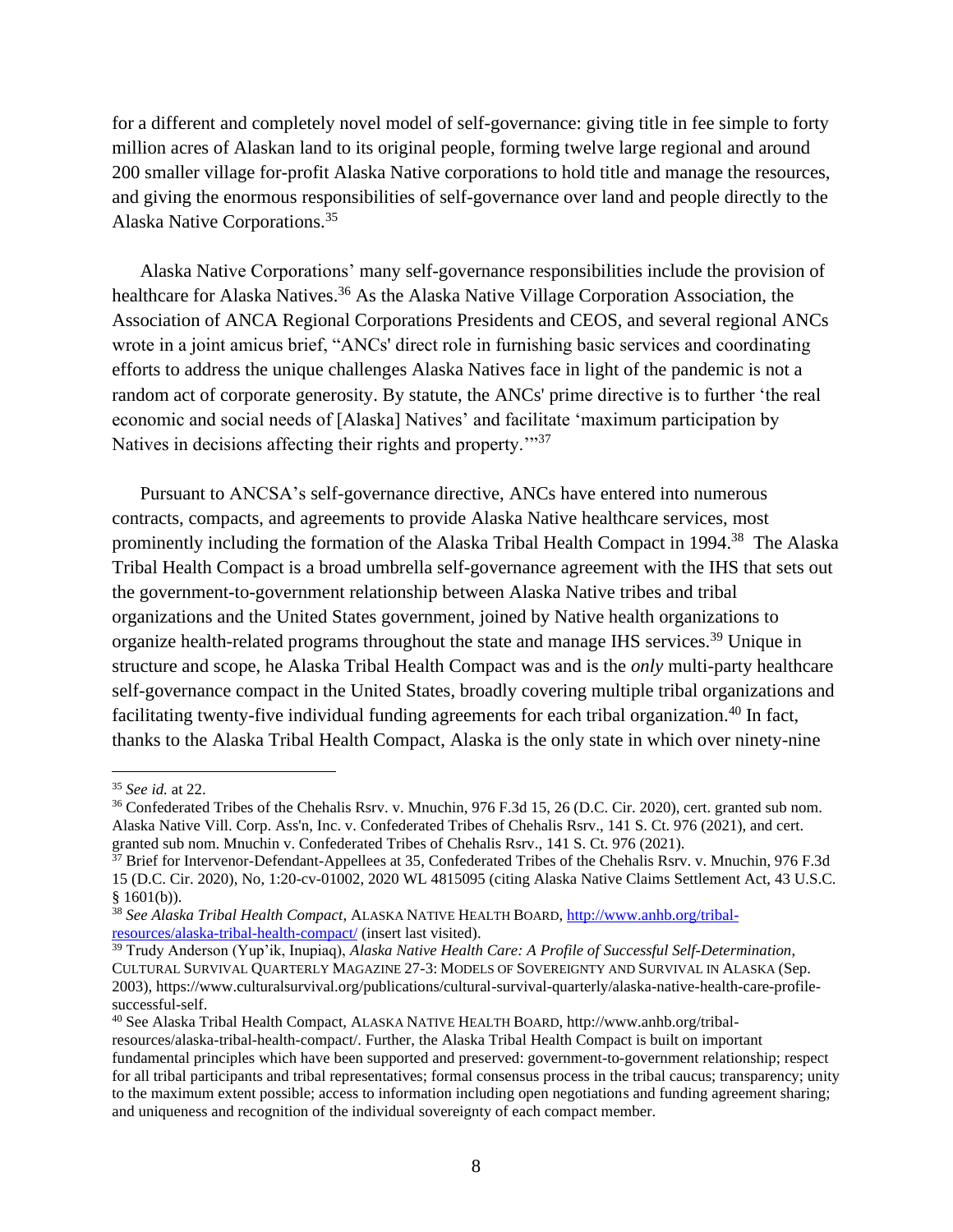for a different and completely novel model of self-governance: giving title in fee simple to forty million acres of Alaskan land to its original people, forming twelve large regional and around 200 smaller village for-profit Alaska Native corporations to hold title and manage the resources, and giving the enormous responsibilities of self-governance over land and people directly to the Alaska Native Corporations.<sup>35</sup>

Alaska Native Corporations' many self-governance responsibilities include the provision of healthcare for Alaska Natives.<sup>36</sup> As the Alaska Native Village Corporation Association, the Association of ANCA Regional Corporations Presidents and CEOS, and several regional ANCs wrote in a joint amicus brief, "ANCs' direct role in furnishing basic services and coordinating efforts to address the unique challenges Alaska Natives face in light of the pandemic is not a random act of corporate generosity. By statute, the ANCs' prime directive is to further 'the real economic and social needs of [Alaska] Natives' and facilitate 'maximum participation by Natives in decisions affecting their rights and property."<sup>37</sup>

Pursuant to ANCSA's self-governance directive, ANCs have entered into numerous contracts, compacts, and agreements to provide Alaska Native healthcare services, most prominently including the formation of the Alaska Tribal Health Compact in 1994.<sup>38</sup> The Alaska Tribal Health Compact is a broad umbrella self-governance agreement with the IHS that sets out the government-to-government relationship between Alaska Native tribes and tribal organizations and the United States government, joined by Native health organizations to organize health-related programs throughout the state and manage IHS services.<sup>39</sup> Unique in structure and scope, he Alaska Tribal Health Compact was and is the *only* multi-party healthcare self-governance compact in the United States, broadly covering multiple tribal organizations and facilitating twenty-five individual funding agreements for each tribal organization.<sup>40</sup> In fact, thanks to the Alaska Tribal Health Compact, Alaska is the only state in which over ninety-nine

<sup>35</sup> *See id.* at 22.

<sup>&</sup>lt;sup>36</sup> Confederated Tribes of the Chehalis Rsrv. v. Mnuchin, 976 F.3d 15, 26 (D.C. Cir. 2020), cert. granted sub nom. Alaska Native Vill. Corp. Ass'n, Inc. v. Confederated Tribes of Chehalis Rsrv., 141 S. Ct. 976 (2021), and cert. granted sub nom. Mnuchin v. Confederated Tribes of Chehalis Rsrv., 141 S. Ct. 976 (2021).

<sup>&</sup>lt;sup>37</sup> Brief for Intervenor-Defendant-Appellees at 35, Confederated Tribes of the Chehalis Rsrv. v. Mnuchin, 976 F.3d 15 (D.C. Cir. 2020), No, 1:20-cv-01002, 2020 WL 4815095 (citing Alaska Native Claims Settlement Act, 43 U.S.C.  $§ 1601(b)).$ 

<sup>38</sup> *See Alaska Tribal Health Compact*, ALASKA NATIVE HEALTH BOARD, [http://www.anhb.org/tribal](http://www.anhb.org/tribal-resources/alaska-tribal-health-compact/)[resources/alaska-tribal-health-compact/](http://www.anhb.org/tribal-resources/alaska-tribal-health-compact/) (insert last visited).

<sup>39</sup> Trudy Anderson (Yup'ik, Inupiaq), *Alaska Native Health Care: A Profile of Successful Self-Determination*, CULTURAL SURVIVAL QUARTERLY MAGAZINE 27-3: MODELS OF SOVEREIGNTY AND SURVIVAL IN ALASKA (Sep. 2003), https://www.culturalsurvival.org/publications/cultural-survival-quarterly/alaska-native-health-care-profilesuccessful-self.

<sup>40</sup> See Alaska Tribal Health Compact, ALASKA NATIVE HEALTH BOARD, http://www.anhb.org/tribalresources/alaska-tribal-health-compact/. Further, the Alaska Tribal Health Compact is built on important fundamental principles which have been supported and preserved: government-to-government relationship; respect for all tribal participants and tribal representatives; formal consensus process in the tribal caucus; transparency; unity to the maximum extent possible; access to information including open negotiations and funding agreement sharing; and uniqueness and recognition of the individual sovereignty of each compact member.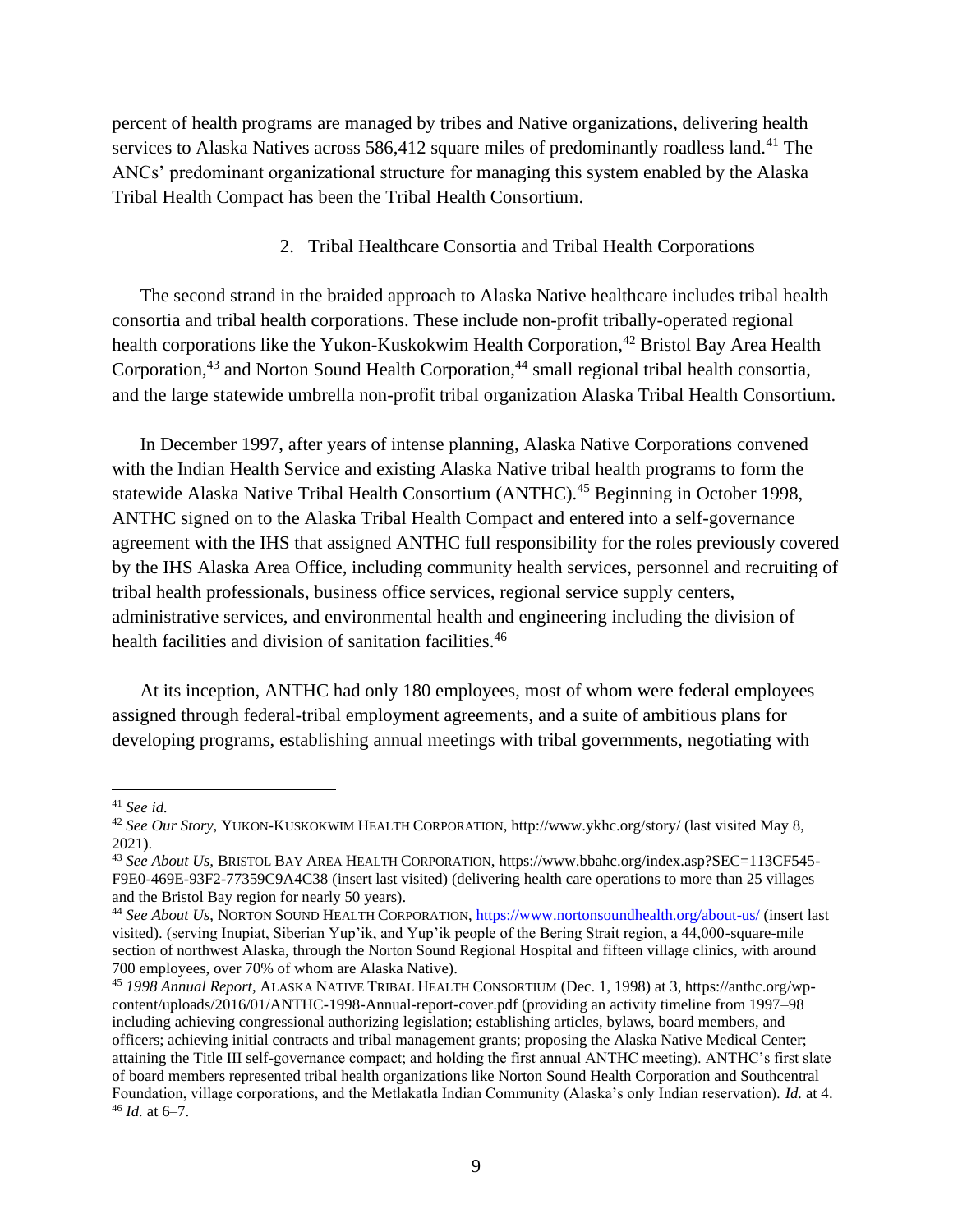percent of health programs are managed by tribes and Native organizations, delivering health services to Alaska Natives across 586,412 square miles of predominantly roadless land.<sup>41</sup> The ANCs' predominant organizational structure for managing this system enabled by the Alaska Tribal Health Compact has been the Tribal Health Consortium.

### 2. Tribal Healthcare Consortia and Tribal Health Corporations

The second strand in the braided approach to Alaska Native healthcare includes tribal health consortia and tribal health corporations. These include non-profit tribally-operated regional health corporations like the Yukon-Kuskokwim Health Corporation,<sup>42</sup> Bristol Bay Area Health Corporation,<sup>43</sup> and Norton Sound Health Corporation,<sup>44</sup> small regional tribal health consortia, and the large statewide umbrella non-profit tribal organization Alaska Tribal Health Consortium.

In December 1997, after years of intense planning, Alaska Native Corporations convened with the Indian Health Service and existing Alaska Native tribal health programs to form the statewide Alaska Native Tribal Health Consortium (ANTHC).<sup>45</sup> Beginning in October 1998, ANTHC signed on to the Alaska Tribal Health Compact and entered into a self-governance agreement with the IHS that assigned ANTHC full responsibility for the roles previously covered by the IHS Alaska Area Office, including community health services, personnel and recruiting of tribal health professionals, business office services, regional service supply centers, administrative services, and environmental health and engineering including the division of health facilities and division of sanitation facilities.<sup>46</sup>

At its inception, ANTHC had only 180 employees, most of whom were federal employees assigned through federal-tribal employment agreements, and a suite of ambitious plans for developing programs, establishing annual meetings with tribal governments, negotiating with

<sup>41</sup> *See id.* 

<sup>42</sup> *See Our Story,* YUKON-KUSKOKWIM HEALTH CORPORATION, http://www.ykhc.org/story/ (last visited May 8, 2021).

<sup>43</sup> *See About Us,* BRISTOL BAY AREA HEALTH CORPORATION, https://www.bbahc.org/index.asp?SEC=113CF545- F9E0-469E-93F2-77359C9A4C38 (insert last visited) (delivering health care operations to more than 25 villages and the Bristol Bay region for nearly 50 years).

<sup>44</sup> *See About Us*, NORTON SOUND HEALTH CORPORATION,<https://www.nortonsoundhealth.org/about-us/> (insert last visited). (serving Inupiat, Siberian Yup'ik, and Yup'ik people of the Bering Strait region, a 44,000-square-mile section of northwest Alaska, through the Norton Sound Regional Hospital and fifteen village clinics, with around 700 employees, over 70% of whom are Alaska Native).

<sup>45</sup> *1998 Annual Report*, ALASKA NATIVE TRIBAL HEALTH CONSORTIUM (Dec. 1, 1998) at 3, https://anthc.org/wpcontent/uploads/2016/01/ANTHC-1998-Annual-report-cover.pdf (providing an activity timeline from 1997–98 including achieving congressional authorizing legislation; establishing articles, bylaws, board members, and officers; achieving initial contracts and tribal management grants; proposing the Alaska Native Medical Center; attaining the Title III self-governance compact; and holding the first annual ANTHC meeting). ANTHC's first slate of board members represented tribal health organizations like Norton Sound Health Corporation and Southcentral Foundation, village corporations, and the Metlakatla Indian Community (Alaska's only Indian reservation). *Id.* at 4. <sup>46</sup> *Id.* at 6–7.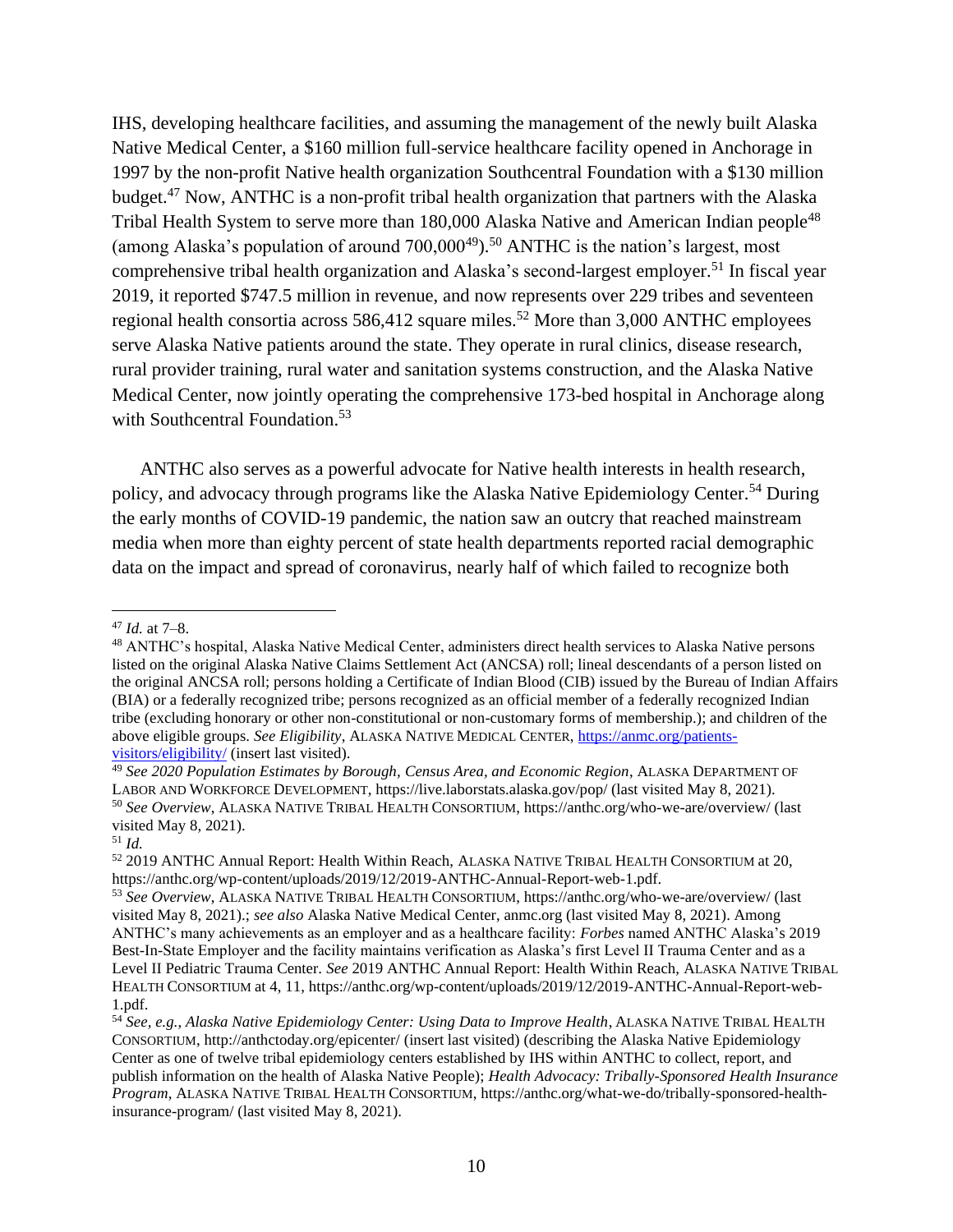IHS, developing healthcare facilities, and assuming the management of the newly built Alaska Native Medical Center, a \$160 million full-service healthcare facility opened in Anchorage in 1997 by the non-profit Native health organization Southcentral Foundation with a \$130 million budget.<sup>47</sup> Now, ANTHC is a non-profit tribal health organization that partners with the Alaska Tribal Health System to serve more than 180,000 Alaska Native and American Indian people<sup>48</sup> (among Alaska's population of around  $700,000^{49}$ ).<sup>50</sup> ANTHC is the nation's largest, most comprehensive tribal health organization and Alaska's second-largest employer.<sup>51</sup> In fiscal year 2019, it reported \$747.5 million in revenue, and now represents over 229 tribes and seventeen regional health consortia across 586,412 square miles.<sup>52</sup> More than 3,000 ANTHC employees serve Alaska Native patients around the state. They operate in rural clinics, disease research, rural provider training, rural water and sanitation systems construction, and the Alaska Native Medical Center, now jointly operating the comprehensive 173-bed hospital in Anchorage along with Southcentral Foundation.<sup>53</sup>

ANTHC also serves as a powerful advocate for Native health interests in health research, policy, and advocacy through programs like the Alaska Native Epidemiology Center.<sup>54</sup> During the early months of COVID-19 pandemic, the nation saw an outcry that reached mainstream media when more than eighty percent of state health departments reported racial demographic data on the impact and spread of coronavirus, nearly half of which failed to recognize both

<sup>47</sup> *Id.* at 7–8.

<sup>48</sup> ANTHC's hospital, Alaska Native Medical Center, administers direct health services to Alaska Native persons listed on the original Alaska Native Claims Settlement Act (ANCSA) roll; lineal descendants of a person listed on the original ANCSA roll; persons holding a Certificate of Indian Blood (CIB) issued by the Bureau of Indian Affairs (BIA) or a federally recognized tribe; persons recognized as an official member of a federally recognized Indian tribe (excluding honorary or other non-constitutional or non-customary forms of membership.); and children of the above eligible groups. *See Eligibility*, ALASKA NATIVE MEDICAL CENTER, [https://anmc.org/patients](https://anmc.org/patients-visitors/eligibility/)[visitors/eligibility/](https://anmc.org/patients-visitors/eligibility/) (insert last visited).

<sup>49</sup> *See 2020 Population Estimates by Borough, Census Area, and Economic Region*, ALASKA DEPARTMENT OF LABOR AND WORKFORCE DEVELOPMENT, https://live.laborstats.alaska.gov/pop/ (last visited May 8, 2021).

<sup>50</sup> *See Overview*, ALASKA NATIVE TRIBAL HEALTH CONSORTIUM, https://anthc.org/who-we-are/overview/ (last visited May 8, 2021).

 $51$  *Id.* 

<sup>52</sup> 2019 ANTHC Annual Report: Health Within Reach, ALASKA NATIVE TRIBAL HEALTH CONSORTIUM at 20, https://anthc.org/wp-content/uploads/2019/12/2019-ANTHC-Annual-Report-web-1.pdf.

<sup>53</sup> *See Overview*, ALASKA NATIVE TRIBAL HEALTH CONSORTIUM, https://anthc.org/who-we-are/overview/ (last visited May 8, 2021).; *see also* Alaska Native Medical Center, anmc.org (last visited May 8, 2021). Among ANTHC's many achievements as an employer and as a healthcare facility: *Forbes* named ANTHC Alaska's 2019 Best-In-State Employer and the facility maintains verification as Alaska's first Level II Trauma Center and as a Level II Pediatric Trauma Center. *See* 2019 ANTHC Annual Report: Health Within Reach, ALASKA NATIVE TRIBAL HEALTH CONSORTIUM at 4, 11, https://anthc.org/wp-content/uploads/2019/12/2019-ANTHC-Annual-Report-web-1.pdf.

<sup>54</sup> *See, e.g.*, *Alaska Native Epidemiology Center: Using Data to Improve Health*, ALASKA NATIVE TRIBAL HEALTH CONSORTIUM, http://anthctoday.org/epicenter/ (insert last visited) (describing the Alaska Native Epidemiology Center as one of twelve tribal epidemiology centers established by IHS within ANTHC to collect, report, and publish information on the health of Alaska Native People); *Health Advocacy: Tribally-Sponsored Health Insurance Program*, ALASKA NATIVE TRIBAL HEALTH CONSORTIUM, https://anthc.org/what-we-do/tribally-sponsored-healthinsurance-program/ (last visited May 8, 2021).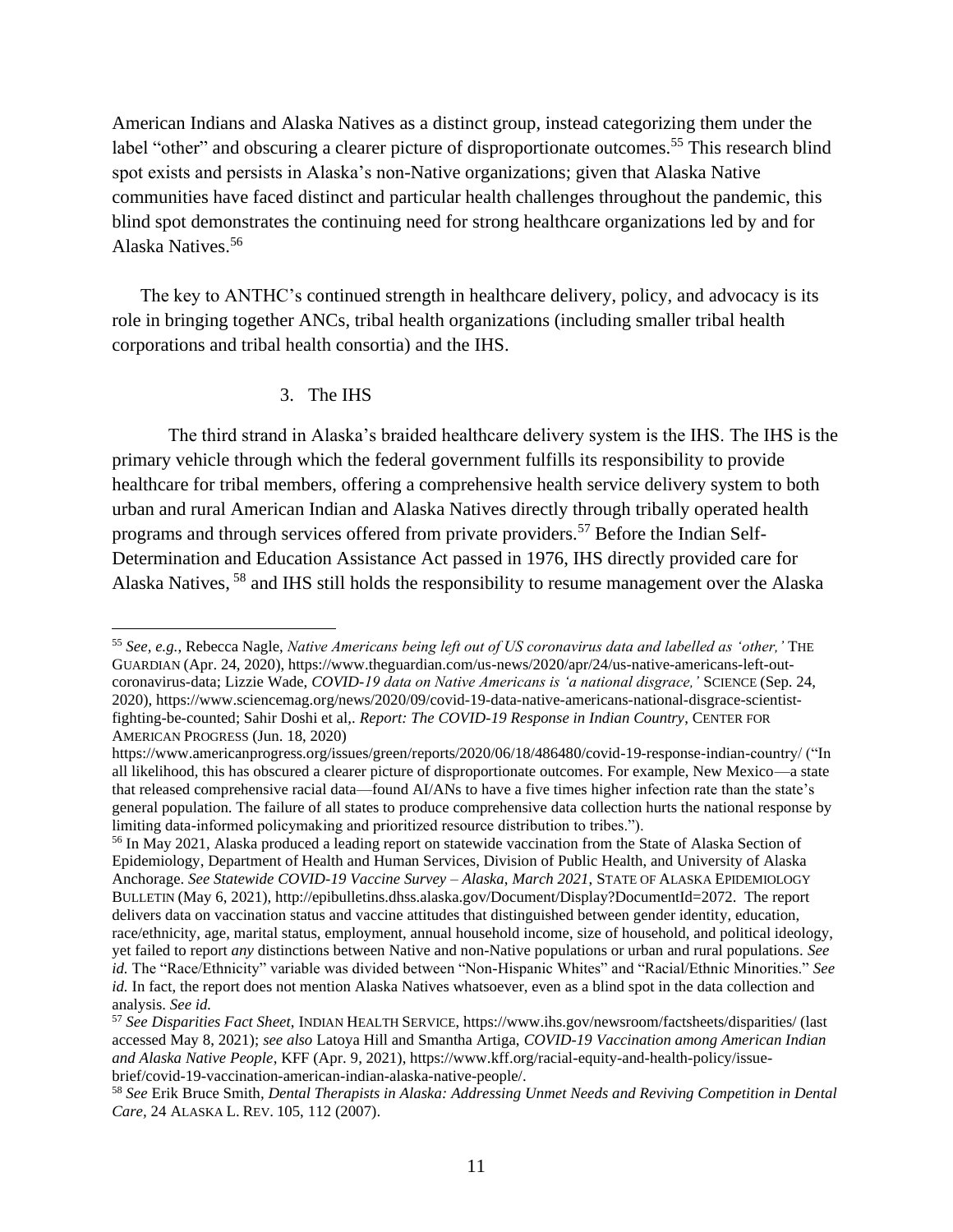American Indians and Alaska Natives as a distinct group, instead categorizing them under the label "other" and obscuring a clearer picture of disproportionate outcomes.<sup>55</sup> This research blind spot exists and persists in Alaska's non-Native organizations; given that Alaska Native communities have faced distinct and particular health challenges throughout the pandemic, this blind spot demonstrates the continuing need for strong healthcare organizations led by and for Alaska Natives. 56

The key to ANTHC's continued strength in healthcare delivery, policy, and advocacy is its role in bringing together ANCs, tribal health organizations (including smaller tribal health corporations and tribal health consortia) and the IHS.

### 3. The IHS

The third strand in Alaska's braided healthcare delivery system is the IHS. The IHS is the primary vehicle through which the federal government fulfills its responsibility to provide healthcare for tribal members, offering a comprehensive health service delivery system to both urban and rural American Indian and Alaska Natives directly through tribally operated health programs and through services offered from private providers.<sup>57</sup> Before the Indian Self-Determination and Education Assistance Act passed in 1976, IHS directly provided care for Alaska Natives, <sup>58</sup> and IHS still holds the responsibility to resume management over the Alaska

<sup>55</sup> *See, e.g.*, Rebecca Nagle, *Native Americans being left out of US coronavirus data and labelled as 'other,'* THE GUARDIAN (Apr. 24, 2020), https://www.theguardian.com/us-news/2020/apr/24/us-native-americans-left-outcoronavirus-data; Lizzie Wade, *COVID-19 data on Native Americans is 'a national disgrace,'* SCIENCE (Sep. 24, 2020), https://www.sciencemag.org/news/2020/09/covid-19-data-native-americans-national-disgrace-scientistfighting-be-counted; Sahir Doshi et al,. *Report: The COVID-19 Response in Indian Country*, CENTER FOR AMERICAN PROGRESS (Jun. 18, 2020)

https://www.americanprogress.org/issues/green/reports/2020/06/18/486480/covid-19-response-indian-country/ ("In all likelihood, this has obscured a clearer picture of disproportionate outcomes. For example, New Mexico—a state that released comprehensive racial data—found AI/ANs to have a five times higher infection rate than the state's general population. The failure of all states to produce comprehensive data collection hurts the national response by limiting data-informed policymaking and prioritized resource distribution to tribes.").

<sup>56</sup> In May 2021, Alaska produced a leading report on statewide vaccination from the State of Alaska Section of Epidemiology, Department of Health and Human Services, Division of Public Health, and University of Alaska Anchorage. *See Statewide COVID-19 Vaccine Survey – Alaska*, *March 2021*, STATE OF ALASKA EPIDEMIOLOGY BULLETIN (May 6, 2021), http://epibulletins.dhss.alaska.gov/Document/Display?DocumentId=2072. The report delivers data on vaccination status and vaccine attitudes that distinguished between gender identity, education, race/ethnicity, age, marital status, employment, annual household income, size of household, and political ideology, yet failed to report *any* distinctions between Native and non-Native populations or urban and rural populations. *See id.* The "Race/Ethnicity" variable was divided between "Non-Hispanic Whites" and "Racial/Ethnic Minorities." *See id.* In fact, the report does not mention Alaska Natives whatsoever, even as a blind spot in the data collection and analysis. *See id.* 

<sup>57</sup> *See Disparities Fact Sheet*, INDIAN HEALTH SERVICE, https://www.ihs.gov/newsroom/factsheets/disparities/ (last accessed May 8, 2021); *see also* Latoya Hill and Smantha Artiga, *COVID-19 Vaccination among American Indian and Alaska Native People*, KFF (Apr. 9, 2021), https://www.kff.org/racial-equity-and-health-policy/issuebrief/covid-19-vaccination-american-indian-alaska-native-people/.

<sup>58</sup> *See* Erik Bruce Smith*, Dental Therapists in Alaska: Addressing Unmet Needs and Reviving Competition in Dental Care,* 24 ALASKA L. REV. 105, 112 (2007).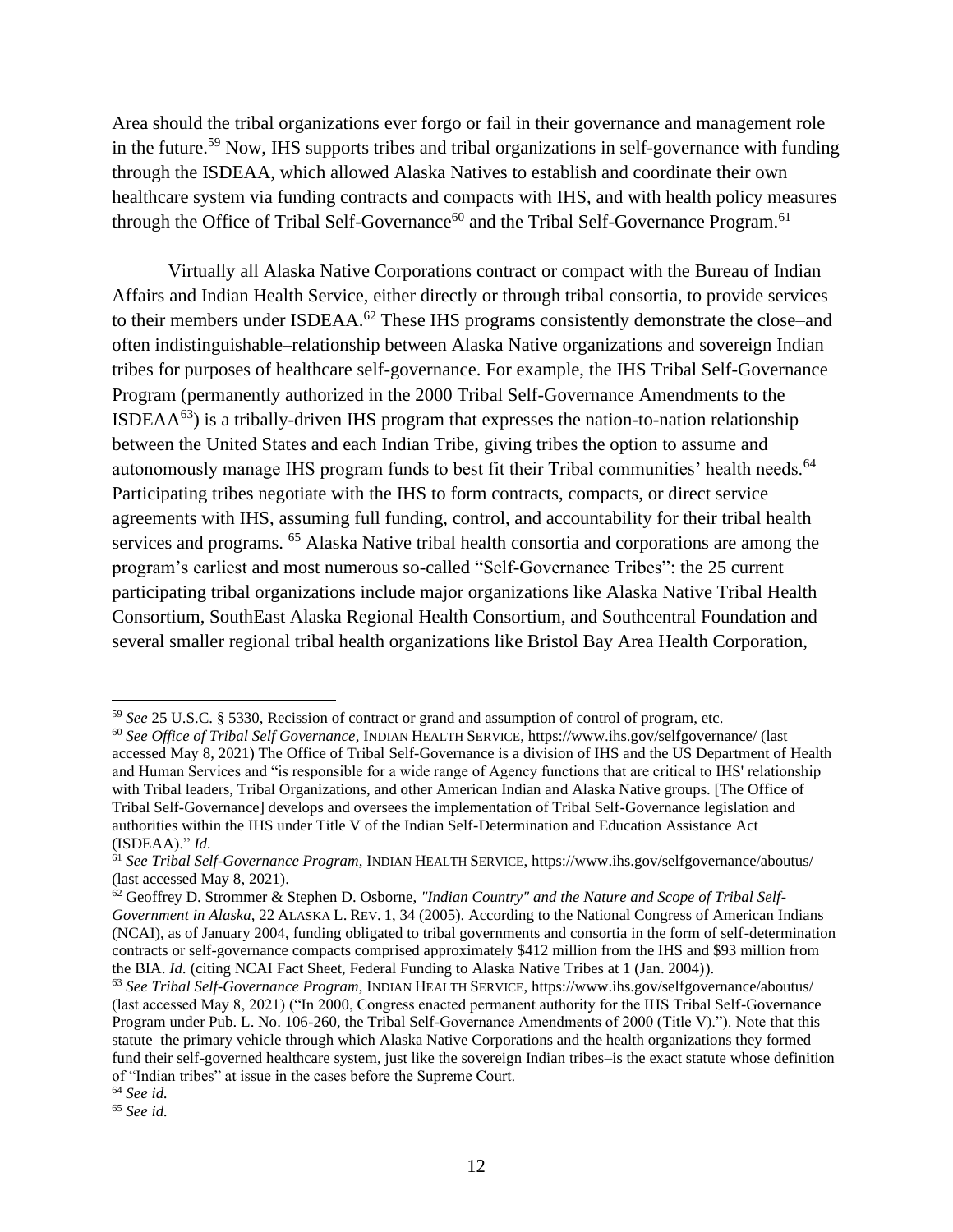Area should the tribal organizations ever forgo or fail in their governance and management role in the future.<sup>59</sup> Now, IHS supports tribes and tribal organizations in self-governance with funding through the ISDEAA, which allowed Alaska Natives to establish and coordinate their own healthcare system via funding contracts and compacts with IHS, and with health policy measures through the Office of Tribal Self-Governance<sup>60</sup> and the Tribal Self-Governance Program.<sup>61</sup>

Virtually all Alaska Native Corporations contract or compact with the Bureau of Indian Affairs and Indian Health Service, either directly or through tribal consortia, to provide services to their members under ISDEAA.<sup>62</sup> These IHS programs consistently demonstrate the close–and often indistinguishable–relationship between Alaska Native organizations and sovereign Indian tribes for purposes of healthcare self-governance. For example, the IHS Tribal Self-Governance Program (permanently authorized in the 2000 Tribal Self-Governance Amendments to the  $ISDEAA<sup>63</sup>$ ) is a tribally-driven IHS program that expresses the nation-to-nation relationship between the United States and each Indian Tribe, giving tribes the option to assume and autonomously manage IHS program funds to best fit their Tribal communities' health needs.<sup>64</sup> Participating tribes negotiate with the IHS to form contracts, compacts, or direct service agreements with IHS, assuming full funding, control, and accountability for their tribal health services and programs. <sup>65</sup> Alaska Native tribal health consortia and corporations are among the program's earliest and most numerous so-called "Self-Governance Tribes": the 25 current participating tribal organizations include major organizations like Alaska Native Tribal Health Consortium, SouthEast Alaska Regional Health Consortium, and Southcentral Foundation and several smaller regional tribal health organizations like Bristol Bay Area Health Corporation,

<sup>59</sup> *See* 25 U.S.C. § 5330, Recission of contract or grand and assumption of control of program, etc.

<sup>60</sup> *See Office of Tribal Self Governance*, INDIAN HEALTH SERVICE, https://www.ihs.gov/selfgovernance/ (last accessed May 8, 2021) The Office of Tribal Self-Governance is a division of IHS and the US Department of Health and Human Services and "is responsible for a wide range of Agency functions that are critical to IHS' relationship with Tribal leaders, Tribal Organizations, and other American Indian and Alaska Native groups. [The Office of Tribal Self-Governance] develops and oversees the implementation of Tribal Self-Governance legislation and authorities within the IHS under Title V of the Indian Self-Determination and Education Assistance Act (ISDEAA)." *Id.* 

<sup>61</sup> *See Tribal Self-Governance Program*, INDIAN HEALTH SERVICE, https://www.ihs.gov/selfgovernance/aboutus/ (last accessed May 8, 2021).

<sup>62</sup> Geoffrey D. Strommer & Stephen D. Osborne, *"Indian Country" and the Nature and Scope of Tribal Self-Government in Alaska*, 22 ALASKA L. REV. 1, 34 (2005). According to the National Congress of American Indians (NCAI), as of January 2004, funding obligated to tribal governments and consortia in the form of self-determination contracts or self-governance compacts comprised approximately \$412 million from the IHS and \$93 million from the BIA. *Id.* (citing NCAI Fact Sheet, Federal Funding to Alaska Native Tribes at 1 (Jan. 2004)).

<sup>63</sup> *See Tribal Self-Governance Program*, INDIAN HEALTH SERVICE, https://www.ihs.gov/selfgovernance/aboutus/ (last accessed May 8, 2021) ("In 2000, Congress enacted permanent authority for the IHS Tribal Self-Governance Program under Pub. L. No. 106-260, the Tribal Self-Governance Amendments of 2000 (Title V)."). Note that this statute–the primary vehicle through which Alaska Native Corporations and the health organizations they formed fund their self-governed healthcare system, just like the sovereign Indian tribes–is the exact statute whose definition of "Indian tribes" at issue in the cases before the Supreme Court.

<sup>64</sup> *See id.* 

<sup>65</sup> *See id.*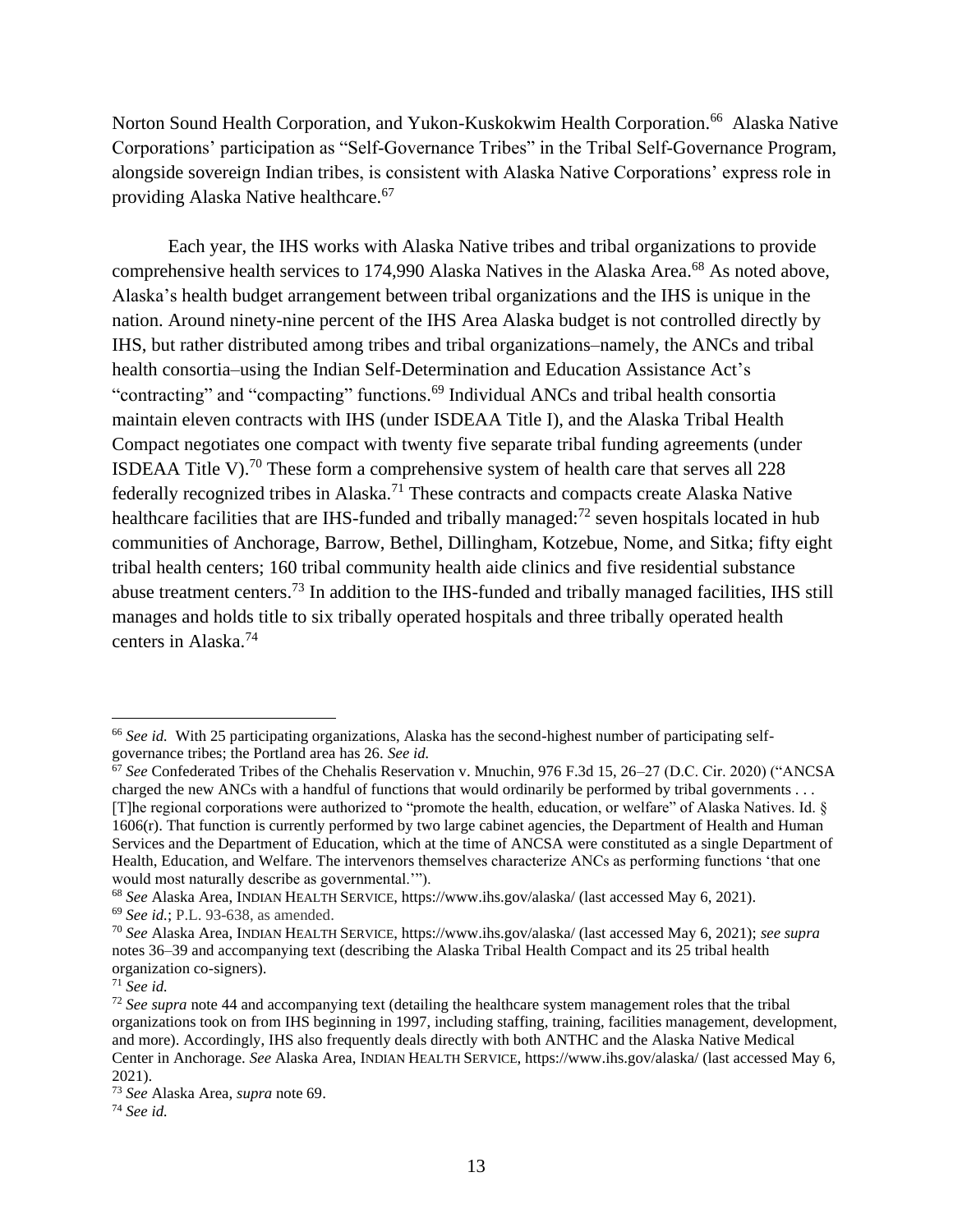Norton Sound Health Corporation, and Yukon-Kuskokwim Health Corporation.<sup>66</sup> Alaska Native Corporations' participation as "Self-Governance Tribes" in the Tribal Self-Governance Program, alongside sovereign Indian tribes, is consistent with Alaska Native Corporations' express role in providing Alaska Native healthcare.<sup>67</sup>

Each year, the IHS works with Alaska Native tribes and tribal organizations to provide comprehensive health services to 174,990 Alaska Natives in the Alaska Area.<sup>68</sup> As noted above, Alaska's health budget arrangement between tribal organizations and the IHS is unique in the nation. Around ninety-nine percent of the IHS Area Alaska budget is not controlled directly by IHS, but rather distributed among tribes and tribal organizations–namely, the ANCs and tribal health consortia–using the Indian Self-Determination and Education Assistance Act's "contracting" and "compacting" functions.<sup>69</sup> Individual ANCs and tribal health consortia maintain eleven contracts with IHS (under ISDEAA Title I), and the Alaska Tribal Health Compact negotiates one compact with twenty five separate tribal funding agreements (under ISDEAA Title V).<sup>70</sup> These form a comprehensive system of health care that serves all 228 federally recognized tribes in Alaska.<sup>71</sup> These contracts and compacts create Alaska Native healthcare facilities that are IHS-funded and tribally managed:<sup>72</sup> seven hospitals located in hub communities of Anchorage, Barrow, Bethel, Dillingham, Kotzebue, Nome, and Sitka; fifty eight tribal health centers; 160 tribal community health aide clinics and five residential substance abuse treatment centers.<sup>73</sup> In addition to the IHS-funded and tribally managed facilities, IHS still manages and holds title to six tribally operated hospitals and three tribally operated health centers in Alaska.<sup>74</sup>

<sup>66</sup> *See id.* With 25 participating organizations, Alaska has the second-highest number of participating selfgovernance tribes; the Portland area has 26. *See id.* 

<sup>&</sup>lt;sup>67</sup> See Confederated Tribes of the Chehalis Reservation v. Mnuchin, 976 F.3d 15, 26–27 (D.C. Cir. 2020) ("ANCSA charged the new ANCs with a handful of functions that would ordinarily be performed by tribal governments . . . [T]he regional corporations were authorized to "promote the health, education, or welfare" of Alaska Natives. Id. § 1606(r). That function is currently performed by two large cabinet agencies, the Department of Health and Human Services and the Department of Education, which at the time of ANCSA were constituted as a single Department of Health, Education, and Welfare. The intervenors themselves characterize ANCs as performing functions 'that one would most naturally describe as governmental.'").

<sup>68</sup> *See* Alaska Area, INDIAN HEALTH SERVICE, https://www.ihs.gov/alaska/ (last accessed May 6, 2021).

<sup>69</sup> *See id.*; P.L. 93-638, as amended.

<sup>70</sup> *See* Alaska Area, INDIAN HEALTH SERVICE, https://www.ihs.gov/alaska/ (last accessed May 6, 2021); *see supra* notes 36–39 and accompanying text (describing the Alaska Tribal Health Compact and its 25 tribal health organization co-signers).

<sup>71</sup> *See id.* 

<sup>72</sup> *See supra* note 44 and accompanying text (detailing the healthcare system management roles that the tribal organizations took on from IHS beginning in 1997, including staffing, training, facilities management, development, and more). Accordingly, IHS also frequently deals directly with both ANTHC and the Alaska Native Medical Center in Anchorage. *See* Alaska Area, INDIAN HEALTH SERVICE, https://www.ihs.gov/alaska/ (last accessed May 6, 2021).

<sup>73</sup> *See* Alaska Area, *supra* note 69.

<sup>74</sup> *See id.*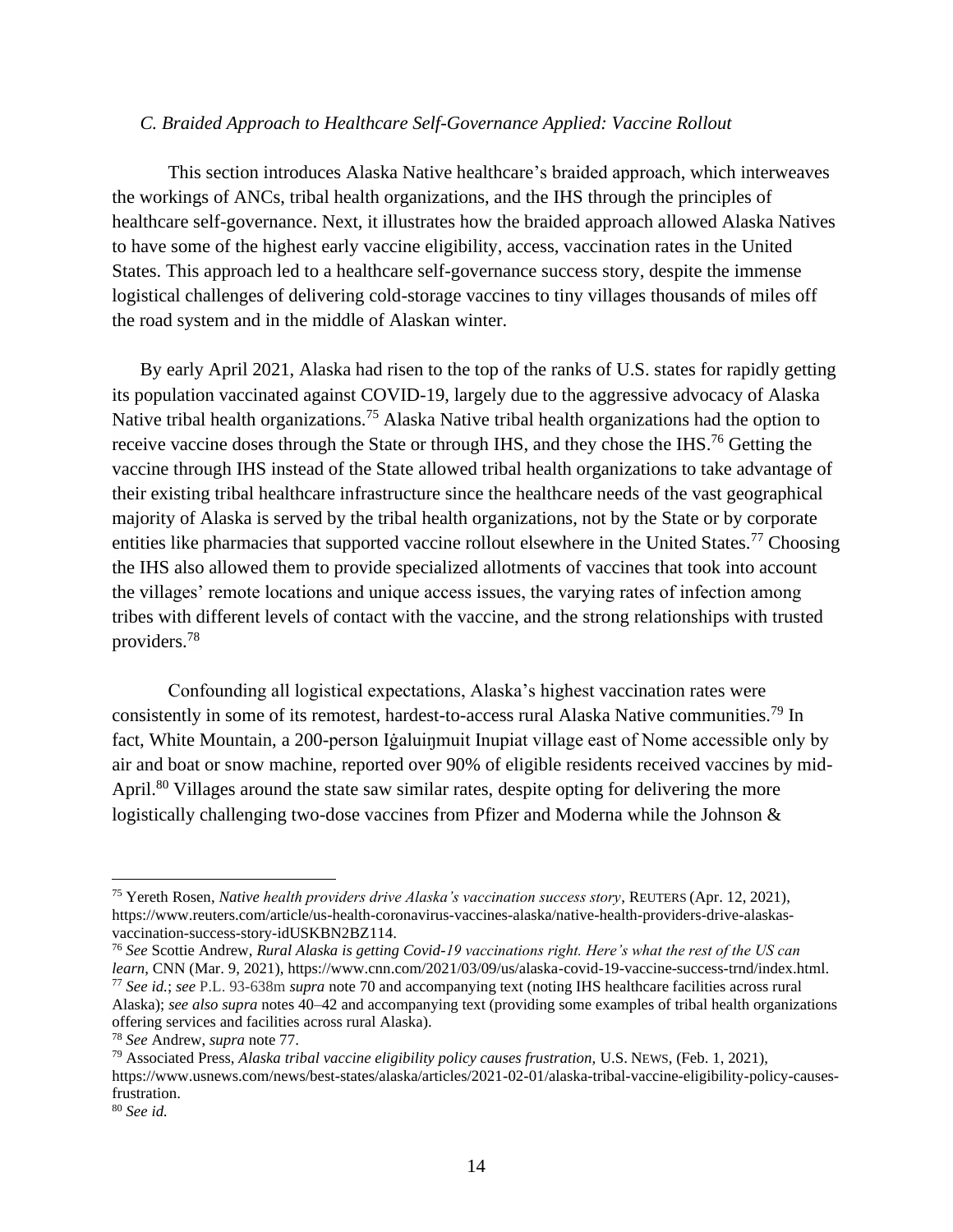#### *C. Braided Approach to Healthcare Self-Governance Applied: Vaccine Rollout*

This section introduces Alaska Native healthcare's braided approach, which interweaves the workings of ANCs, tribal health organizations, and the IHS through the principles of healthcare self-governance. Next, it illustrates how the braided approach allowed Alaska Natives to have some of the highest early vaccine eligibility, access, vaccination rates in the United States. This approach led to a healthcare self-governance success story, despite the immense logistical challenges of delivering cold-storage vaccines to tiny villages thousands of miles off the road system and in the middle of Alaskan winter.

By early April 2021, Alaska had risen to the top of the ranks of U.S. states for rapidly getting its population vaccinated against COVID-19, largely due to the aggressive advocacy of Alaska Native tribal health organizations.<sup>75</sup> Alaska Native tribal health organizations had the option to receive vaccine doses through the State or through IHS, and they chose the IHS.<sup>76</sup> Getting the vaccine through IHS instead of the State allowed tribal health organizations to take advantage of their existing tribal healthcare infrastructure since the healthcare needs of the vast geographical majority of Alaska is served by the tribal health organizations, not by the State or by corporate entities like pharmacies that supported vaccine rollout elsewhere in the United States.<sup>77</sup> Choosing the IHS also allowed them to provide specialized allotments of vaccines that took into account the villages' remote locations and unique access issues, the varying rates of infection among tribes with different levels of contact with the vaccine, and the strong relationships with trusted providers. 78

Confounding all logistical expectations, Alaska's highest vaccination rates were consistently in some of its remotest, hardest-to-access rural Alaska Native communities.<sup>79</sup> In fact, White Mountain, a 200-person Iġaluiŋmuit Inupiat village east of Nome accessible only by air and boat or snow machine, reported over 90% of eligible residents received vaccines by mid-April.<sup>80</sup> Villages around the state saw similar rates, despite opting for delivering the more logistically challenging two-dose vaccines from Pfizer and Moderna while the Johnson &

<sup>75</sup> Yereth Rosen, *Native health providers drive Alaska's vaccination success story*, REUTERS (Apr. 12, 2021), https://www.reuters.com/article/us-health-coronavirus-vaccines-alaska/native-health-providers-drive-alaskasvaccination-success-story-idUSKBN2BZ114.

<sup>76</sup> *See* Scottie Andrew, *Rural Alaska is getting Covid-19 vaccinations right. Here's what the rest of the US can learn*, CNN (Mar. 9, 2021), https://www.cnn.com/2021/03/09/us/alaska-covid-19-vaccine-success-trnd/index.html. <sup>77</sup> *See id.*; *see* P.L. 93-638m *supra* note 70 and accompanying text (noting IHS healthcare facilities across rural Alaska); *see also supra* notes 40–42 and accompanying text (providing some examples of tribal health organizations offering services and facilities across rural Alaska).

<sup>78</sup> *See* Andrew, *supra* note 77.

<sup>79</sup> Associated Press, *Alaska tribal vaccine eligibility policy causes frustration,* U.S. NEWS, (Feb. 1, 2021), https://www.usnews.com/news/best-states/alaska/articles/2021-02-01/alaska-tribal-vaccine-eligibility-policy-causesfrustration.

<sup>80</sup> *See id.*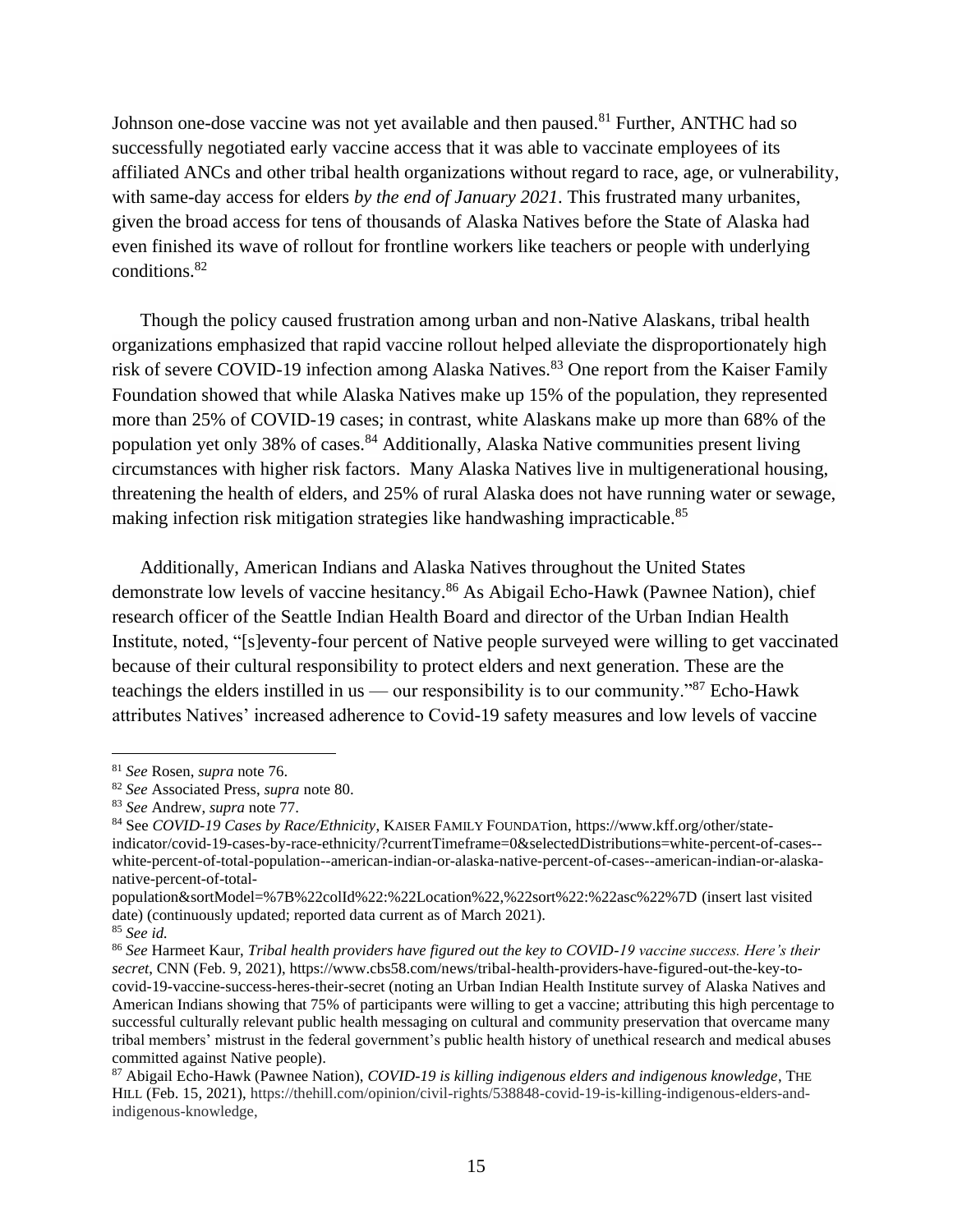Johnson one-dose vaccine was not yet available and then paused.<sup>81</sup> Further, ANTHC had so successfully negotiated early vaccine access that it was able to vaccinate employees of its affiliated ANCs and other tribal health organizations without regard to race, age, or vulnerability, with same-day access for elders *by the end of January 2021*. This frustrated many urbanites, given the broad access for tens of thousands of Alaska Natives before the State of Alaska had even finished its wave of rollout for frontline workers like teachers or people with underlying conditions.<sup>82</sup>

Though the policy caused frustration among urban and non-Native Alaskans, tribal health organizations emphasized that rapid vaccine rollout helped alleviate the disproportionately high risk of severe COVID-19 infection among Alaska Natives.<sup>83</sup> One report from the Kaiser Family Foundation showed that while Alaska Natives make up 15% of the population, they represented more than 25% of COVID-19 cases; in contrast, white Alaskans make up more than 68% of the population yet only 38% of cases.<sup>84</sup> Additionally, Alaska Native communities present living circumstances with higher risk factors. Many Alaska Natives live in multigenerational housing, threatening the health of elders, and 25% of rural Alaska does not have running water or sewage, making infection risk mitigation strategies like handwashing impracticable.<sup>85</sup>

Additionally, American Indians and Alaska Natives throughout the United States demonstrate low levels of vaccine hesitancy.<sup>86</sup> As Abigail Echo-Hawk (Pawnee Nation), chief research officer of the Seattle Indian Health Board and director of the Urban Indian Health Institute, noted, "[s]eventy-four percent of Native people surveyed were willing to get vaccinated because of their cultural responsibility to protect elders and next generation. These are the teachings the elders instilled in us — our responsibility is to our community."<sup>87</sup> Echo-Hawk attributes Natives' increased adherence to Covid-19 safety measures and low levels of vaccine

<sup>81</sup> *See* Rosen, *supra* note 76.

<sup>82</sup> *See* Associated Press, *supra* note 80.

<sup>83</sup> *See* Andrew, *supra* note 77.

<sup>84</sup> See *COVID-19 Cases by Race/Ethnicity*, KAISER FAMILY FOUNDATion, https://www.kff.org/other/stateindicator/covid-19-cases-by-race-ethnicity/?currentTimeframe=0&selectedDistributions=white-percent-of-cases- white-percent-of-total-population--american-indian-or-alaska-native-percent-of-cases--american-indian-or-alaskanative-percent-of-total-

population&sortModel=%7B%22colId%22:%22Location%22,%22sort%22:%22asc%22%7D (insert last visited date) (continuously updated; reported data current as of March 2021).

<sup>85</sup> *See id.* 

<sup>86</sup> *See* Harmeet Kaur, *Tribal health providers have figured out the key to COVID-19 vaccine success. Here's their secret*, CNN (Feb. 9, 2021), https://www.cbs58.com/news/tribal-health-providers-have-figured-out-the-key-tocovid-19-vaccine-success-heres-their-secret (noting an Urban Indian Health Institute survey of Alaska Natives and American Indians showing that 75% of participants were willing to get a vaccine; attributing this high percentage to successful culturally relevant public health messaging on cultural and community preservation that overcame many tribal members' mistrust in the federal government's public health history of unethical research and medical abuses committed against Native people).

<sup>87</sup> Abigail Echo-Hawk (Pawnee Nation), *COVID-19 is killing indigenous elders and indigenous knowledge*, THE HILL (Feb. 15, 2021), https://thehill.com/opinion/civil-rights/538848-covid-19-is-killing-indigenous-elders-andindigenous-knowledge,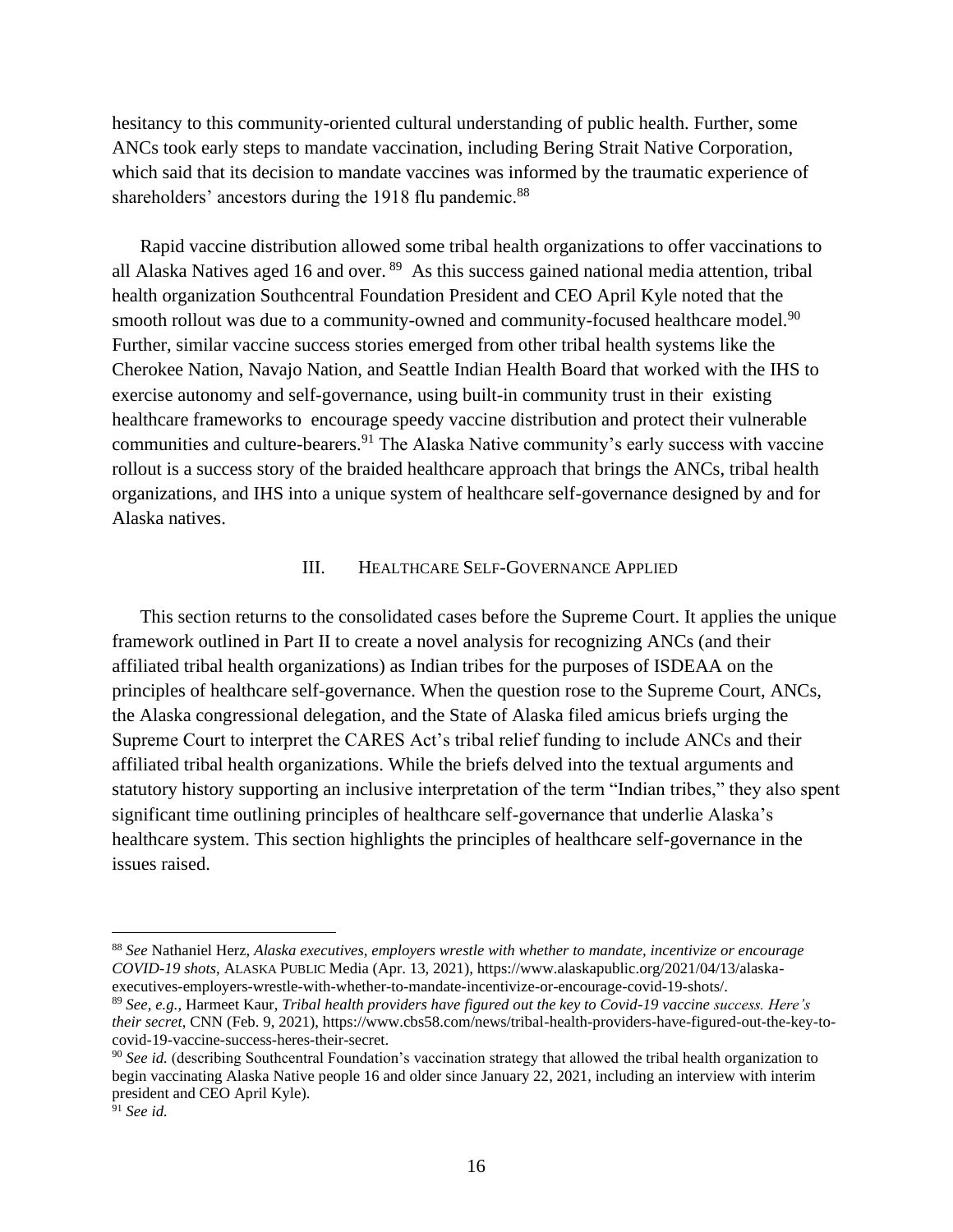hesitancy to this community-oriented cultural understanding of public health. Further, some ANCs took early steps to mandate vaccination, including Bering Strait Native Corporation, which said that its decision to mandate vaccines was informed by the traumatic experience of shareholders' ancestors during the 1918 flu pandemic.<sup>88</sup>

Rapid vaccine distribution allowed some tribal health organizations to offer vaccinations to all Alaska Natives aged 16 and over. <sup>89</sup> As this success gained national media attention, tribal health organization Southcentral Foundation President and CEO April Kyle noted that the smooth rollout was due to a community-owned and community-focused healthcare model.<sup>90</sup> Further, similar vaccine success stories emerged from other tribal health systems like the Cherokee Nation, Navajo Nation, and Seattle Indian Health Board that worked with the IHS to exercise autonomy and self-governance, using built-in community trust in their existing healthcare frameworks to encourage speedy vaccine distribution and protect their vulnerable communities and culture-bearers.<sup>91</sup> The Alaska Native community's early success with vaccine rollout is a success story of the braided healthcare approach that brings the ANCs, tribal health organizations, and IHS into a unique system of healthcare self-governance designed by and for Alaska natives.

#### III. HEALTHCARE SELF-GOVERNANCE APPLIED

This section returns to the consolidated cases before the Supreme Court. It applies the unique framework outlined in Part II to create a novel analysis for recognizing ANCs (and their affiliated tribal health organizations) as Indian tribes for the purposes of ISDEAA on the principles of healthcare self-governance. When the question rose to the Supreme Court, ANCs, the Alaska congressional delegation, and the State of Alaska filed amicus briefs urging the Supreme Court to interpret the CARES Act's tribal relief funding to include ANCs and their affiliated tribal health organizations. While the briefs delved into the textual arguments and statutory history supporting an inclusive interpretation of the term "Indian tribes," they also spent significant time outlining principles of healthcare self-governance that underlie Alaska's healthcare system. This section highlights the principles of healthcare self-governance in the issues raised.

<sup>88</sup> *See* Nathaniel Herz, *Alaska executives, employers wrestle with whether to mandate, incentivize or encourage COVID-19 shots*, ALASKA PUBLIC Media (Apr. 13, 2021), https://www.alaskapublic.org/2021/04/13/alaskaexecutives-employers-wrestle-with-whether-to-mandate-incentivize-or-encourage-covid-19-shots/.

<sup>89</sup> *See, e.g.*, Harmeet Kaur, *Tribal health providers have figured out the key to Covid-19 vaccine success. Here's their secret*, CNN (Feb. 9, 2021), https://www.cbs58.com/news/tribal-health-providers-have-figured-out-the-key-tocovid-19-vaccine-success-heres-their-secret.

<sup>&</sup>lt;sup>90</sup> See id. (describing Southcentral Foundation's vaccination strategy that allowed the tribal health organization to begin vaccinating Alaska Native people 16 and older since January 22, 2021, including an interview with interim president and CEO April Kyle).

<sup>91</sup> *See id.*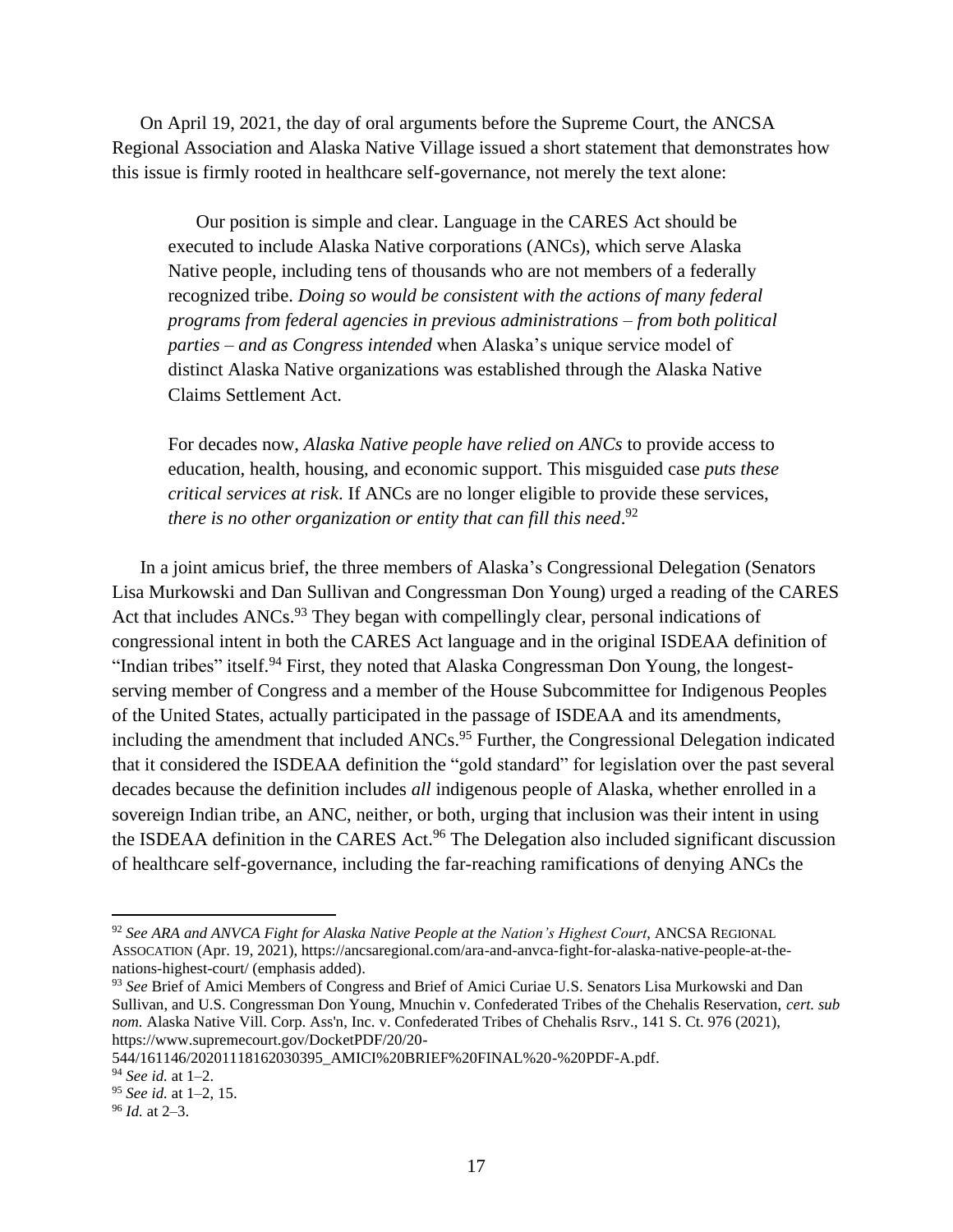On April 19, 2021, the day of oral arguments before the Supreme Court, the ANCSA Regional Association and Alaska Native Village issued a short statement that demonstrates how this issue is firmly rooted in healthcare self-governance, not merely the text alone:

Our position is simple and clear. Language in the CARES Act should be executed to include Alaska Native corporations (ANCs), which serve Alaska Native people, including tens of thousands who are not members of a federally recognized tribe. *Doing so would be consistent with the actions of many federal programs from federal agencies in previous administrations – from both political parties – and as Congress intended* when Alaska's unique service model of distinct Alaska Native organizations was established through the Alaska Native Claims Settlement Act.

For decades now, *Alaska Native people have relied on ANCs* to provide access to education, health, housing, and economic support. This misguided case *puts these critical services at risk*. If ANCs are no longer eligible to provide these services, *there is no other organization or entity that can fill this need*. 92

In a joint amicus brief, the three members of Alaska's Congressional Delegation (Senators Lisa Murkowski and Dan Sullivan and Congressman Don Young) urged a reading of the CARES Act that includes ANCs.<sup>93</sup> They began with compellingly clear, personal indications of congressional intent in both the CARES Act language and in the original ISDEAA definition of "Indian tribes" itself.<sup>94</sup> First, they noted that Alaska Congressman Don Young, the longestserving member of Congress and a member of the House Subcommittee for Indigenous Peoples of the United States, actually participated in the passage of ISDEAA and its amendments, including the amendment that included ANCs.<sup>95</sup> Further, the Congressional Delegation indicated that it considered the ISDEAA definition the "gold standard" for legislation over the past several decades because the definition includes *all* indigenous people of Alaska, whether enrolled in a sovereign Indian tribe, an ANC, neither, or both, urging that inclusion was their intent in using the ISDEAA definition in the CARES Act.<sup>96</sup> The Delegation also included significant discussion of healthcare self-governance, including the far-reaching ramifications of denying ANCs the

<sup>92</sup> *See ARA and ANVCA Fight for Alaska Native People at the Nation's Highest Court*, ANCSA REGIONAL ASSOCATION (Apr. 19, 2021), https://ancsaregional.com/ara-and-anvca-fight-for-alaska-native-people-at-thenations-highest-court/ (emphasis added).

<sup>93</sup> *See* Brief of Amici Members of Congress and Brief of Amici Curiae U.S. Senators Lisa Murkowski and Dan Sullivan, and U.S. Congressman Don Young, Mnuchin v. Confederated Tribes of the Chehalis Reservation, *cert. sub nom.* Alaska Native Vill. Corp. Ass'n, Inc. v. Confederated Tribes of Chehalis Rsrv., 141 S. Ct. 976 (2021), https://www.supremecourt.gov/DocketPDF/20/20-

<sup>544/161146/20201118162030395</sup>\_AMICI%20BRIEF%20FINAL%20-%20PDF-A.pdf.

<sup>94</sup> *See id.* at 1–2.

<sup>95</sup> *See id.* at 1–2, 15.

<sup>96</sup> *Id.* at 2–3.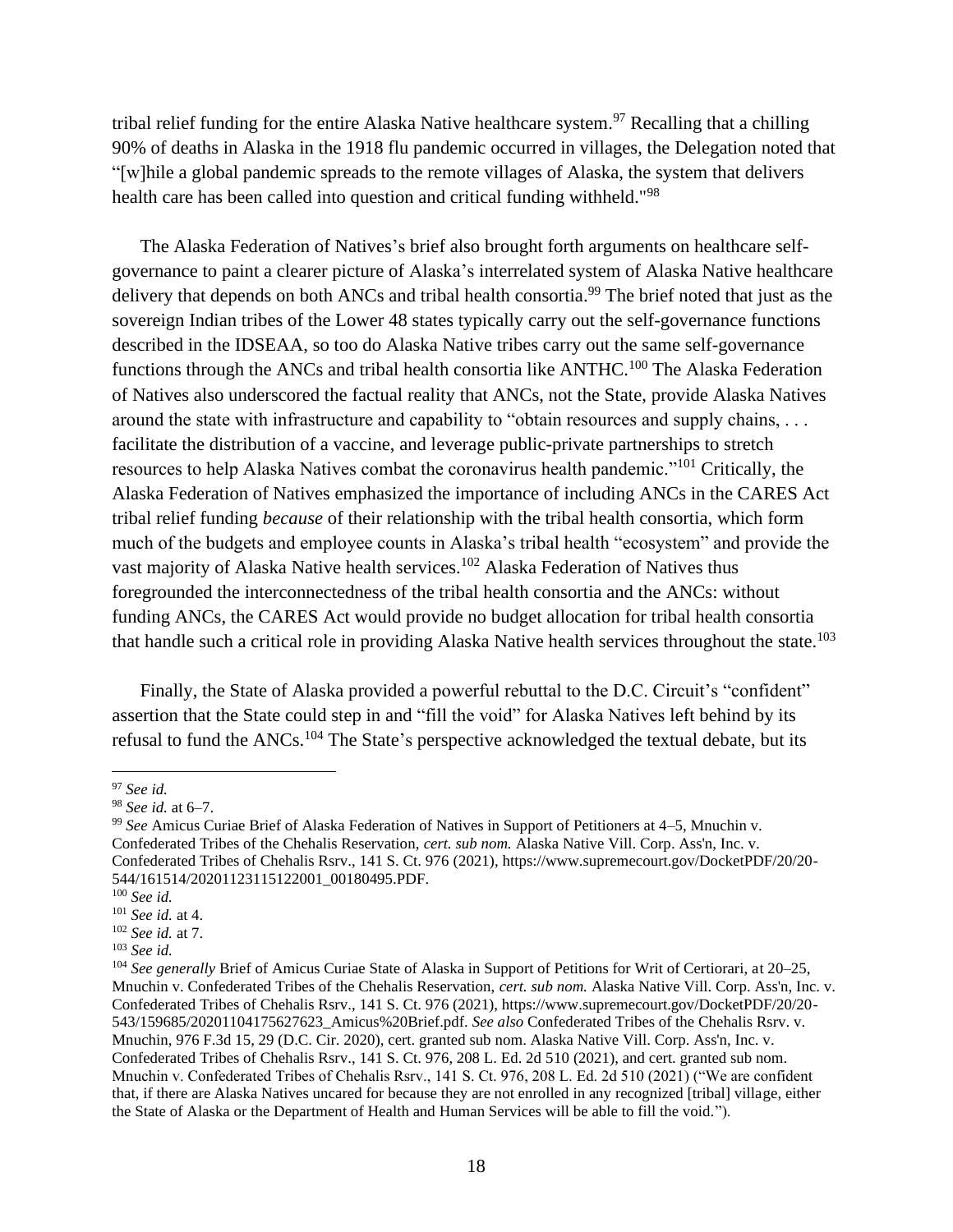tribal relief funding for the entire Alaska Native healthcare system.<sup>97</sup> Recalling that a chilling 90% of deaths in Alaska in the 1918 flu pandemic occurred in villages, the Delegation noted that "[w]hile a global pandemic spreads to the remote villages of Alaska, the system that delivers health care has been called into question and critical funding withheld."<sup>98</sup>

The Alaska Federation of Natives's brief also brought forth arguments on healthcare selfgovernance to paint a clearer picture of Alaska's interrelated system of Alaska Native healthcare delivery that depends on both ANCs and tribal health consortia.<sup>99</sup> The brief noted that just as the sovereign Indian tribes of the Lower 48 states typically carry out the self-governance functions described in the IDSEAA, so too do Alaska Native tribes carry out the same self-governance functions through the ANCs and tribal health consortia like ANTHC.<sup>100</sup> The Alaska Federation of Natives also underscored the factual reality that ANCs, not the State, provide Alaska Natives around the state with infrastructure and capability to "obtain resources and supply chains, . . . facilitate the distribution of a vaccine, and leverage public-private partnerships to stretch resources to help Alaska Natives combat the coronavirus health pandemic."<sup>101</sup> Critically, the Alaska Federation of Natives emphasized the importance of including ANCs in the CARES Act tribal relief funding *because* of their relationship with the tribal health consortia, which form much of the budgets and employee counts in Alaska's tribal health "ecosystem" and provide the vast majority of Alaska Native health services.<sup>102</sup> Alaska Federation of Natives thus foregrounded the interconnectedness of the tribal health consortia and the ANCs: without funding ANCs, the CARES Act would provide no budget allocation for tribal health consortia that handle such a critical role in providing Alaska Native health services throughout the state.<sup>103</sup>

Finally, the State of Alaska provided a powerful rebuttal to the D.C. Circuit's "confident" assertion that the State could step in and "fill the void" for Alaska Natives left behind by its refusal to fund the ANCs.<sup>104</sup> The State's perspective acknowledged the textual debate, but its

<sup>97</sup> *See id.* 

<sup>98</sup> *See id.* at 6–7.

<sup>99</sup> *See* Amicus Curiae Brief of Alaska Federation of Natives in Support of Petitioners at 4–5, Mnuchin v. Confederated Tribes of the Chehalis Reservation, *cert. sub nom.* Alaska Native Vill. Corp. Ass'n, Inc. v. Confederated Tribes of Chehalis Rsrv., 141 S. Ct. 976 (2021), https://www.supremecourt.gov/DocketPDF/20/20- 544/161514/20201123115122001\_00180495.PDF.

<sup>100</sup> *See id.*

<sup>101</sup> *See id.* at 4.

<sup>102</sup> *See id.* at 7.

<sup>103</sup> *See id.* 

<sup>104</sup> *See generally* Brief of Amicus Curiae State of Alaska in Support of Petitions for Writ of Certiorari, at 20–25, Mnuchin v. Confederated Tribes of the Chehalis Reservation, *cert. sub nom.* Alaska Native Vill. Corp. Ass'n, Inc. v. Confederated Tribes of Chehalis Rsrv., 141 S. Ct. 976 (2021), https://www.supremecourt.gov/DocketPDF/20/20- 543/159685/20201104175627623\_Amicus%20Brief.pdf. *See also* Confederated Tribes of the Chehalis Rsrv. v. Mnuchin, 976 F.3d 15, 29 (D.C. Cir. 2020), cert. granted sub nom. Alaska Native Vill. Corp. Ass'n, Inc. v. Confederated Tribes of Chehalis Rsrv., 141 S. Ct. 976, 208 L. Ed. 2d 510 (2021), and cert. granted sub nom. Mnuchin v. Confederated Tribes of Chehalis Rsrv., 141 S. Ct. 976, 208 L. Ed. 2d 510 (2021) ("We are confident that, if there are Alaska Natives uncared for because they are not enrolled in any recognized [tribal] village, either the State of Alaska or the Department of Health and Human Services will be able to fill the void.").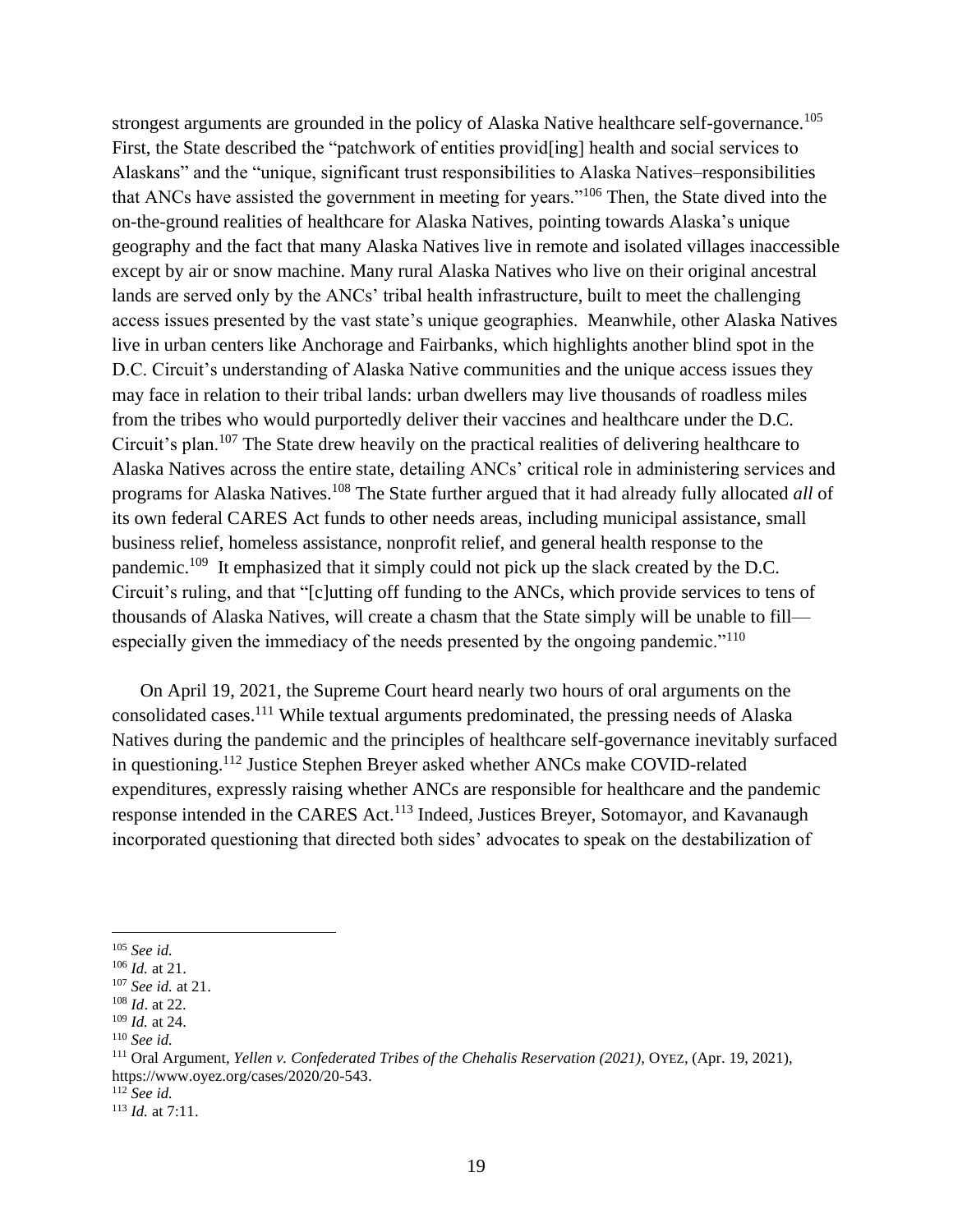strongest arguments are grounded in the policy of Alaska Native healthcare self-governance.<sup>105</sup> First, the State described the "patchwork of entities provides  $\alpha$  health and social services to Alaskans" and the "unique, significant trust responsibilities to Alaska Natives–responsibilities that ANCs have assisted the government in meeting for years."<sup>106</sup> Then, the State dived into the on-the-ground realities of healthcare for Alaska Natives, pointing towards Alaska's unique geography and the fact that many Alaska Natives live in remote and isolated villages inaccessible except by air or snow machine. Many rural Alaska Natives who live on their original ancestral lands are served only by the ANCs' tribal health infrastructure, built to meet the challenging access issues presented by the vast state's unique geographies. Meanwhile, other Alaska Natives live in urban centers like Anchorage and Fairbanks, which highlights another blind spot in the D.C. Circuit's understanding of Alaska Native communities and the unique access issues they may face in relation to their tribal lands: urban dwellers may live thousands of roadless miles from the tribes who would purportedly deliver their vaccines and healthcare under the D.C. Circuit's plan.<sup>107</sup> The State drew heavily on the practical realities of delivering healthcare to Alaska Natives across the entire state, detailing ANCs' critical role in administering services and programs for Alaska Natives.<sup>108</sup> The State further argued that it had already fully allocated *all* of its own federal CARES Act funds to other needs areas, including municipal assistance, small business relief, homeless assistance, nonprofit relief, and general health response to the pandemic.<sup>109</sup> It emphasized that it simply could not pick up the slack created by the D.C. Circuit's ruling, and that "[c]utting off funding to the ANCs, which provide services to tens of thousands of Alaska Natives, will create a chasm that the State simply will be unable to fill especially given the immediacy of the needs presented by the ongoing pandemic."<sup>110</sup>

On April 19, 2021, the Supreme Court heard nearly two hours of oral arguments on the consolidated cases.<sup>111</sup> While textual arguments predominated, the pressing needs of Alaska Natives during the pandemic and the principles of healthcare self-governance inevitably surfaced in questioning.<sup>112</sup> Justice Stephen Breyer asked whether ANCs make COVID-related expenditures, expressly raising whether ANCs are responsible for healthcare and the pandemic response intended in the CARES Act.<sup>113</sup> Indeed, Justices Breyer, Sotomayor, and Kavanaugh incorporated questioning that directed both sides' advocates to speak on the destabilization of

<sup>105</sup> *See id.* 

<sup>106</sup> *Id.* at 21.

<sup>107</sup> *See id.* at 21.

<sup>108</sup> *Id*. at 22.

<sup>109</sup> *Id.* at 24.

<sup>110</sup> *See id.* 

<sup>111</sup> Oral Argument, *Yellen v. Confederated Tribes of the Chehalis Reservation (2021)*, OYEZ, (Apr. 19, 2021), https://www.oyez.org/cases/2020/20-543.

<sup>112</sup> *See id.*

<sup>113</sup> *Id.* at 7:11.